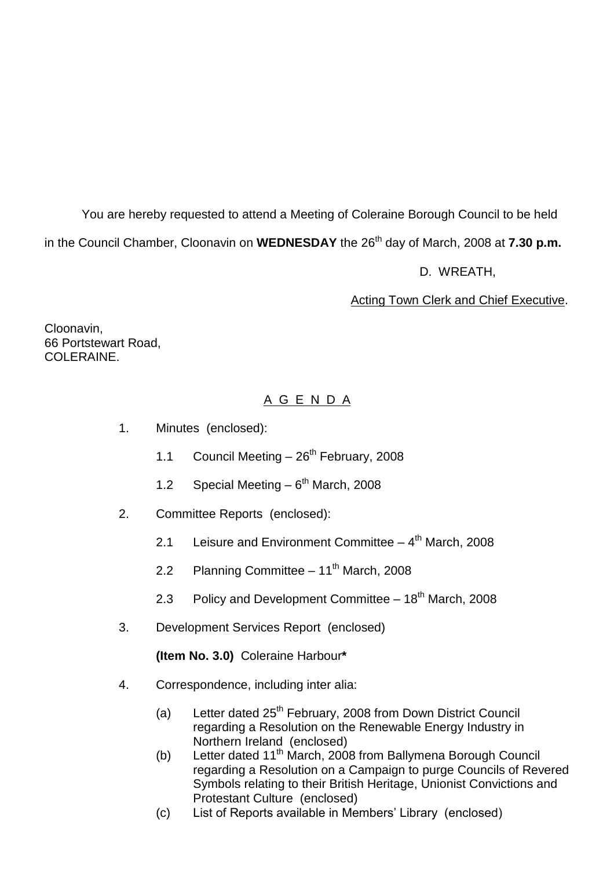You are hereby requested to attend a Meeting of Coleraine Borough Council to be held in the Council Chamber, Cloonavin on **WEDNESDAY** the 26 th day of March, 2008 at **7.30 p.m.**

D. WREATH,

Acting Town Clerk and Chief Executive.

Cloonavin, 66 Portstewart Road, COLERAINE.

# A G E N D A

- 1. Minutes (enclosed):
	- 1.1 Council Meeting  $-26^{th}$  February, 2008
	- 1.2 Special Meeting  $-6^{th}$  March, 2008
- 2. Committee Reports (enclosed):
	- 2.1 Leisure and Environment Committee 4<sup>th</sup> March, 2008
	- 2.2 Planning Committee  $11<sup>th</sup>$  March, 2008
	- 2.3 Policy and Development Committee 18<sup>th</sup> March, 2008
- 3. Development Services Report (enclosed)

**(Item No. 3.0)** Coleraine Harbour**\***

- 4. Correspondence, including inter alia:
	- (a) Letter dated  $25<sup>th</sup>$  February, 2008 from Down District Council regarding a Resolution on the Renewable Energy Industry in Northern Ireland (enclosed)
	- (b) Letter dated  $11<sup>th</sup>$  March, 2008 from Ballymena Borough Council regarding a Resolution on a Campaign to purge Councils of Revered Symbols relating to their British Heritage, Unionist Convictions and Protestant Culture (enclosed)
	- (c) List of Reports available in Members' Library (enclosed)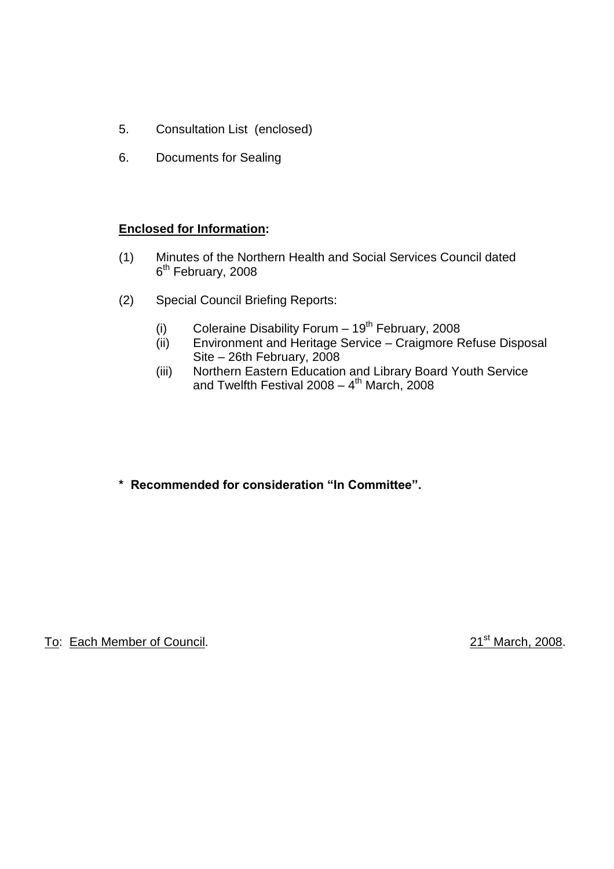- 5. Consultation List (enclosed)
- 6. Documents for Sealing

# **Enclosed for Information:**

- (1) Minutes of the Northern Health and Social Services Council dated 6<sup>th</sup> February, 2008
- (2) Special Council Briefing Reports:
	- (i) Coleraine Disability Forum  $-19^{th}$  February, 2008
	- (ii) Environment and Heritage Service Craigmore Refuse Disposal Site –26th February, 2008
	- (iii) Northern Eastern Education and Library Board Youth Service and Twelfth Festival 2008 – 4<sup>th</sup> March, 2008
- \* Recommended for consideration "In Committee".

To: Each Member of Council. 2008. 21st March, 2008.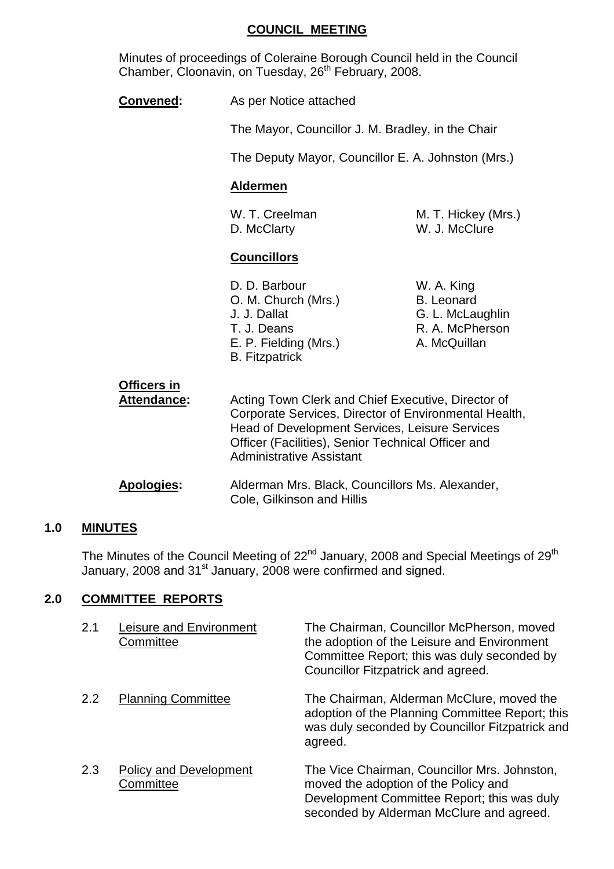#### **COUNCIL MEETING**

Minutes of proceedings of Coleraine Borough Council held in the Council Chamber, Cloonavin, on Tuesday, 26<sup>th</sup> February, 2008.

| <b>Convened:</b> | As per Notice attached |
|------------------|------------------------|
|------------------|------------------------|

The Mayor, Councillor J. M. Bradley, in the Chair

The Deputy Mayor, Councillor E. A. Johnston (Mrs.)

### **Aldermen**

D. McClarty W. J. McClure

W. T. Creelman M. T. Hickey (Mrs.)

# **Councillors**

| D. D. Barbour         | W. A. King        |
|-----------------------|-------------------|
| O. M. Church (Mrs.)   | <b>B.</b> Leonard |
| J. J. Dallat          | G. L. McLaughlin  |
| T. J. Deans           | R. A. McPherson   |
| E. P. Fielding (Mrs.) | A. McQuillan      |
| <b>B.</b> Fitzpatrick |                   |

| W. A. King        |
|-------------------|
| <b>B.</b> Leonard |
| G. L. McLaughlin  |
| R. A. McPherson   |
| A. McQuillan      |

| <b>Officers in</b><br>Attendance: | Acting Town Clerk and Chief Executive, Director of<br>Corporate Services, Director of Environmental Health,<br><b>Head of Development Services, Leisure Services</b><br>Officer (Facilities), Senior Technical Officer and<br><b>Administrative Assistant</b> |
|-----------------------------------|---------------------------------------------------------------------------------------------------------------------------------------------------------------------------------------------------------------------------------------------------------------|
| Apologies:                        | Alderman Mrs. Black, Councillors Ms. Alexander,<br>Cole, Gilkinson and Hillis                                                                                                                                                                                 |

# **1.0 MINUTES**

The Minutes of the Council Meeting of 22<sup>nd</sup> January, 2008 and Special Meetings of 29<sup>th</sup> January, 2008 and 31st January, 2008 were confirmed and signed.

#### **2.0 COMMITTEE REPORTS**

| 2.1 | Leisure and Environment<br>Committee       | The Chairman, Councillor McPherson, moved<br>the adoption of the Leisure and Environment<br>Committee Report; this was duly seconded by<br>Councillor Fitzpatrick and agreed.   |
|-----|--------------------------------------------|---------------------------------------------------------------------------------------------------------------------------------------------------------------------------------|
| 2.2 | <b>Planning Committee</b>                  | The Chairman, Alderman McClure, moved the<br>adoption of the Planning Committee Report; this<br>was duly seconded by Councillor Fitzpatrick and<br>agreed.                      |
| 2.3 | <b>Policy and Development</b><br>Committee | The Vice Chairman, Councillor Mrs. Johnston,<br>moved the adoption of the Policy and<br>Development Committee Report; this was duly<br>seconded by Alderman McClure and agreed. |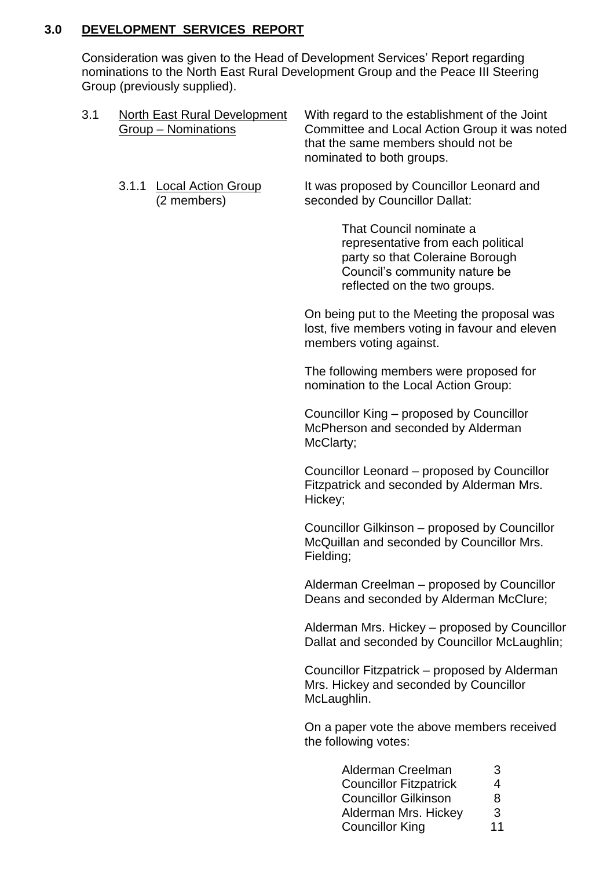# **3.0 DEVELOPMENT SERVICES REPORT**

Consideration was given to the Head of Development Services' Report regarding nominations to the North East Rural Development Group and the Peace III Steering Group (previously supplied).

| 3.1 | <b>North East Rural Development</b><br>Group - Nominations | With regard to the establishment of the Joint<br>Committee and Local Action Group it was noted<br>that the same members should not be<br>nominated to both groups. |
|-----|------------------------------------------------------------|--------------------------------------------------------------------------------------------------------------------------------------------------------------------|
|     | <b>Local Action Group</b><br>3.1.1<br>(2 members)          | It was proposed by Councillor Leonard and<br>seconded by Councillor Dallat:                                                                                        |
|     |                                                            | That Council nominate a<br>representative from each political<br>party so that Coleraine Borough<br>Council's community nature be<br>reflected on the two groups.  |
|     |                                                            | On being put to the Meeting the proposal was<br>lost, five members voting in favour and eleven<br>members voting against.                                          |
|     |                                                            | The following members were proposed for<br>nomination to the Local Action Group:                                                                                   |
|     |                                                            | Councillor King – proposed by Councillor<br>McPherson and seconded by Alderman<br>McClarty;                                                                        |
|     |                                                            | Councillor Leonard – proposed by Councillor<br>Fitzpatrick and seconded by Alderman Mrs.<br>Hickey;                                                                |
|     |                                                            | Councillor Gilkinson – proposed by Councillor<br>McQuillan and seconded by Councillor Mrs.<br>Fielding;                                                            |
|     |                                                            | Alderman Creelman – proposed by Councillor<br>Deans and seconded by Alderman McClure;                                                                              |
|     |                                                            | Alderman Mrs. Hickey – proposed by Councillor<br>Dallat and seconded by Councillor McLaughlin;                                                                     |
|     |                                                            | Councillor Fitzpatrick – proposed by Alderman<br>Mrs. Hickey and seconded by Councillor<br>McLaughlin.                                                             |
|     |                                                            | On a paper vote the above members received<br>the following votes:                                                                                                 |
|     |                                                            | Alderman Creelman<br>3<br><b>Councillor Fitzpatrick</b><br>4<br>8<br><b>Councillor Gilkinson</b><br>3<br>Alderman Mrs. Hickey<br>11<br><b>Councillor King</b>      |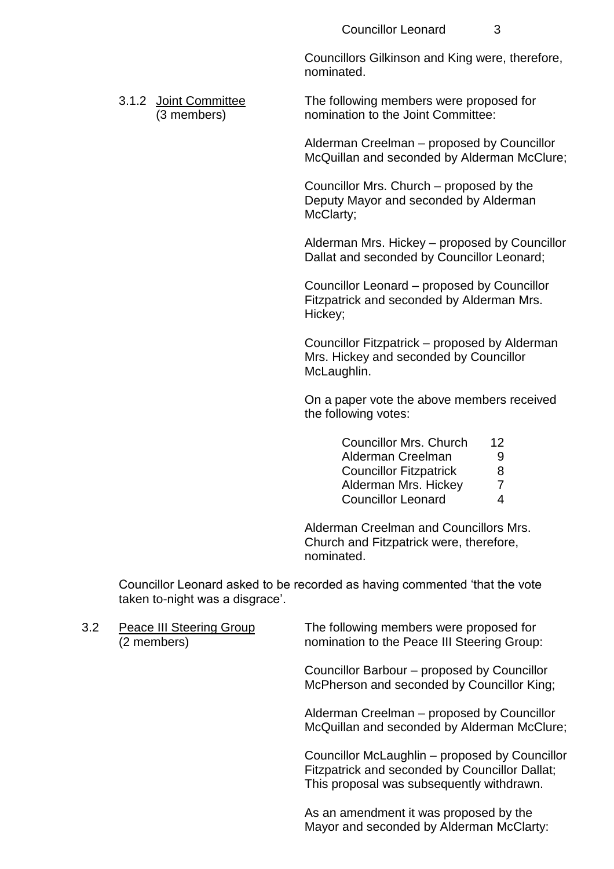Councillors Gilkinson and King were, therefore, nominated.

3.1.2 Joint Committee The following members were proposed for (3 members) nomination to the Joint Committee:

> Alderman Creelman – proposed by Councillor McQuillan and seconded by Alderman McClure;

Councillor Mrs. Church – proposed by the Deputy Mayor and seconded by Alderman McClarty;

Alderman Mrs. Hickey - proposed by Councillor Dallat and seconded by Councillor Leonard;

Councillor Leonard – proposed by Councillor Fitzpatrick and seconded by Alderman Mrs. Hickey;

Councillor Fitzpatrick – proposed by Alderman Mrs. Hickey and seconded by Councillor McLaughlin.

On a paper vote the above members received the following votes:

| <b>Councillor Mrs. Church</b> | 12            |
|-------------------------------|---------------|
| Alderman Creelman             | 9             |
| <b>Councillor Fitzpatrick</b> | 8             |
| Alderman Mrs. Hickey          | $\mathcal{I}$ |
| <b>Councillor Leonard</b>     | 4             |

Alderman Creelman and Councillors Mrs. Church and Fitzpatrick were, therefore, nominated.

Councillor Leonard asked to be recorded as having commented 'that the vote taken to-night was a disgrace'.

3.2 Peace III Steering Group The following members were proposed for (2 members) nomination to the Peace III Steering Group:

> Councillor Barbour – proposed by Councillor McPherson and seconded by Councillor King;

Alderman Creelman – proposed by Councillor McQuillan and seconded by Alderman McClure;

Councillor McLaughlin – proposed by Councillor Fitzpatrick and seconded by Councillor Dallat; This proposal was subsequently withdrawn.

As an amendment it was proposed by the Mayor and seconded by Alderman McClarty: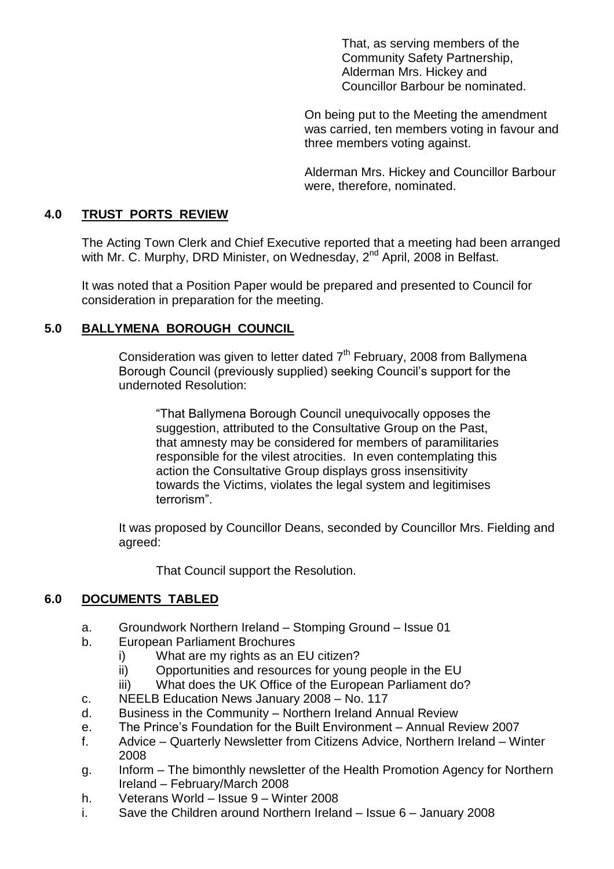That, as serving members of the Community Safety Partnership, Alderman Mrs. Hickey and Councillor Barbour be nominated.

On being put to the Meeting the amendment was carried, ten members voting in favour and three members voting against.

Alderman Mrs. Hickey and Councillor Barbour were, therefore, nominated.

# **4.0 TRUST PORTS REVIEW**

The Acting Town Clerk and Chief Executive reported that a meeting had been arranged with Mr. C. Murphy, DRD Minister, on Wednesday, 2<sup>nd</sup> April, 2008 in Belfast.

It was noted that a Position Paper would be prepared and presented to Council for consideration in preparation for the meeting.

# **5.0 BALLYMENA BOROUGH COUNCIL**

Consideration was given to letter dated  $7<sup>th</sup>$  February, 2008 from Ballymena Borough Council (previously supplied) seeking Council's support for the undernoted Resolution:

"That Ballymena Borough Council unequivocally opposes the suggestion, attributed to the Consultative Group on the Past, that amnesty may be considered for members of paramilitaries responsible for the vilest atrocities. In even contemplating this action the Consultative Group displays gross insensitivity towards the Victims, violates the legal system and legitimises terrorism".

It was proposed by Councillor Deans, seconded by Councillor Mrs. Fielding and agreed:

That Council support the Resolution.

# **6.0 DOCUMENTS TABLED**

- a. Groundwork Northern Ireland Stomping Ground Issue 01
- b. European Parliament Brochures
	- i) What are my rights as an EU citizen?
	- ii) Opportunities and resources for young people in the EU
	- iii) What does the UK Office of the European Parliament do?
- c. NEELB Education News January 2008 No. 117
- d. Business in the Community –Northern Ireland Annual Review
- e. The Prince's Foundation for the Built Environment Annual Review 2007
- f. Advice –Quarterly Newsletter from Citizens Advice, Northern Ireland –Winter 2008
- g. Inform –The bimonthly newsletter of the Health Promotion Agency for Northern Ireland –February/March 2008
- h. Veterans World Issue 9 Winter 2008
- i. Save the Children around Northern Ireland  $-$  Issue 6 January 2008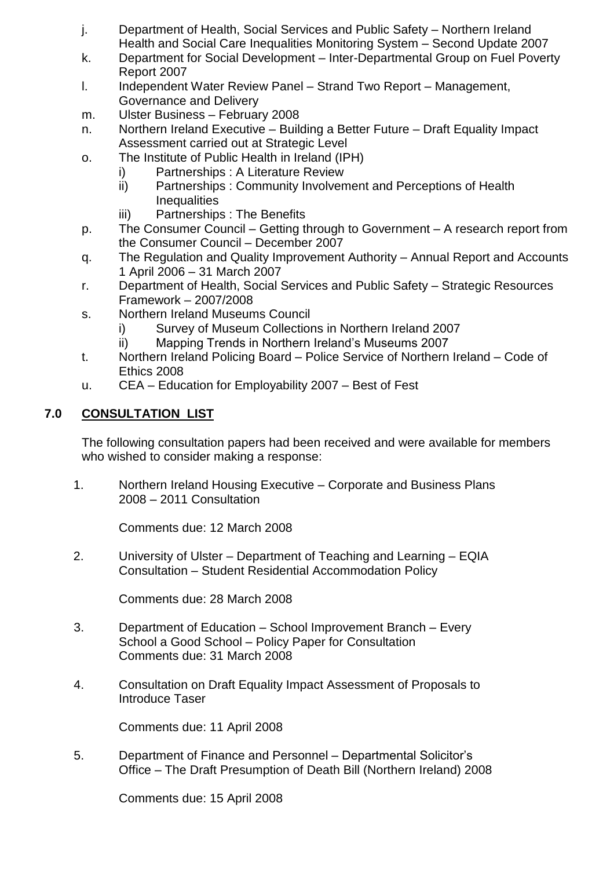- j. Department of Health, Social Services and Public Safety Northern Ireland Health and Social Care Inequalities Monitoring System – Second Update 2007
- k. Department for Social Development Inter-Departmental Group on Fuel Poverty Report 2007
- l. Independent Water Review Panel –Strand Two Report –Management, Governance and Delivery
- m. Ulster Business February 2008
- n. Northern Ireland Executive Building a Better Future Draft Equality Impact Assessment carried out at Strategic Level
- o. The Institute of Public Health in Ireland (IPH)
	- i) Partnerships : A Literature Review
	- ii) Partnerships : Community Involvement and Perceptions of Health **Inequalities**
	- iii) Partnerships : The Benefits
- p. The Consumer Council Getting through to Government A research report from the Consumer Council - December 2007
- q. The Regulation and Quality Improvement Authority –Annual Report and Accounts 1 April 2006 –31 March 2007
- r. Department of Health, Social Services and Public Safety Strategic Resources Framework –2007/2008
- s. Northern Ireland Museums Council
	- i) Survey of Museum Collections in Northern Ireland 2007
	- ii) Mapping Trends in Northern Ireland's Museums 2007
- t. Northern Ireland Policing Board –Police Service of Northern Ireland –Code of Ethics 2008
- u. CEA Education for Employability 2007 Best of Fest

# **7.0 CONSULTATION LIST**

The following consultation papers had been received and were available for members who wished to consider making a response:

1. Northern Ireland Housing Executive –Corporate and Business Plans 2008 –2011 Consultation

Comments due: 12 March 2008

2. University of Ulster – Department of Teaching and Learning – EQIA Consultation –Student Residential Accommodation Policy

Comments due: 28 March 2008

- 3. Department of Education –School Improvement Branch –Every School a Good School – Policy Paper for Consultation Comments due: 31 March 2008
- 4. Consultation on Draft Equality Impact Assessment of Proposals to Introduce Taser

Comments due: 11 April 2008

5. Department of Finance and Personnel – Departmental Solicitor's Office –The Draft Presumption of Death Bill (Northern Ireland) 2008

Comments due: 15 April 2008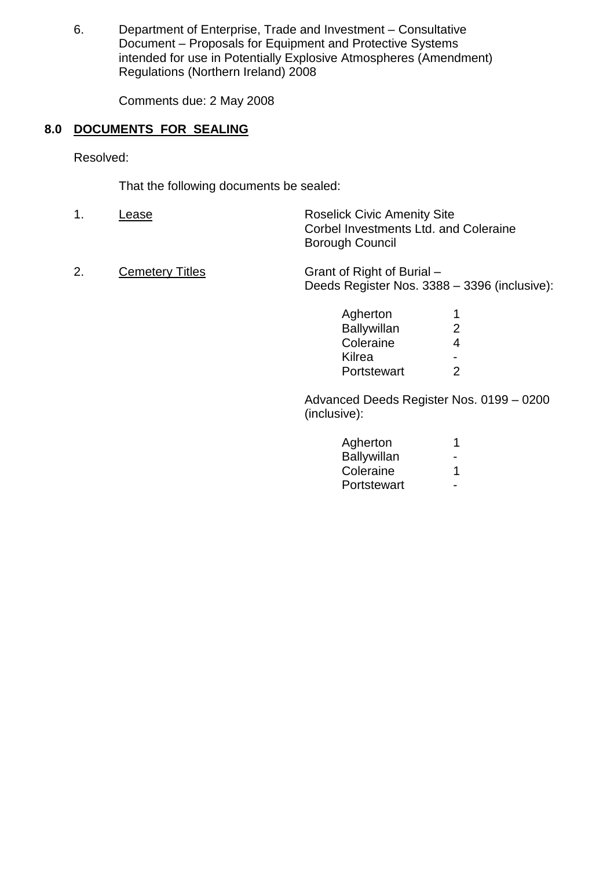6. Department of Enterprise, Trade and Investment –Consultative Document – Proposals for Equipment and Protective Systems intended for use in Potentially Explosive Atmospheres (Amendment) Regulations (Northern Ireland) 2008

Comments due: 2 May 2008

# **8.0 DOCUMENTS FOR SEALING**

Resolved:

That the following documents be sealed:

- 1. Lease Lease Roselick Civic Amenity Site Corbel Investments Ltd. and Coleraine Borough Council
- 2. Cemetery Titles Grant of Right of Burial Deeds Register Nos. 3388 - 3396 (inclusive):

| Agherton           | 1 |
|--------------------|---|
| <b>Ballywillan</b> | 2 |
| Coleraine          | 4 |
| Kilrea             |   |
| Portstewart        | 2 |

Advanced Deeds Register Nos. 0199 –0200 (inclusive):

| 1 |
|---|
|   |
| 1 |
|   |
|   |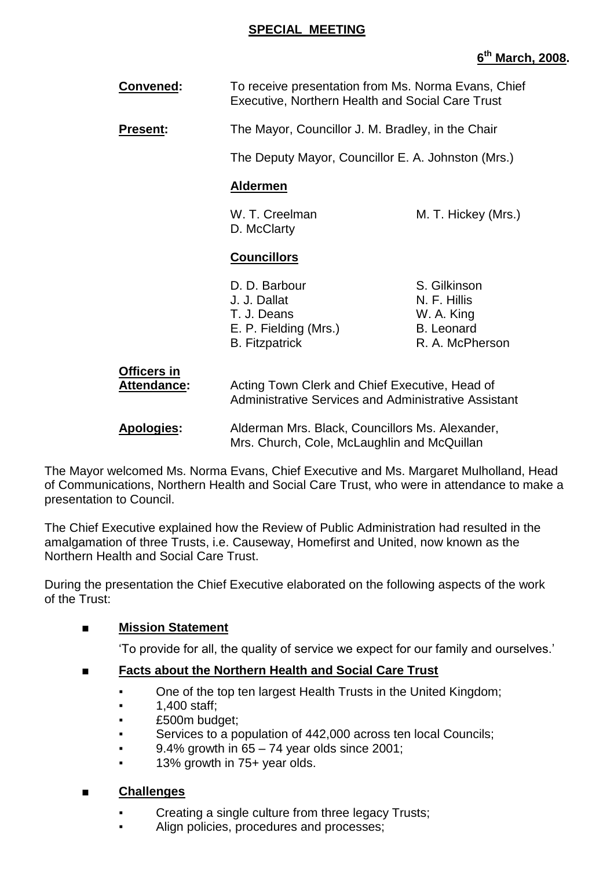### **SPECIAL MEETING**

# **6 th March, 2008.**

| <b>Convened:</b>                  | To receive presentation from Ms. Norma Evans, Chief<br><b>Executive, Northern Health and Social Care Trust</b> |                                                                                    |
|-----------------------------------|----------------------------------------------------------------------------------------------------------------|------------------------------------------------------------------------------------|
| <b>Present:</b>                   | The Mayor, Councillor J. M. Bradley, in the Chair                                                              |                                                                                    |
|                                   | The Deputy Mayor, Councillor E. A. Johnston (Mrs.)                                                             |                                                                                    |
|                                   | <b>Aldermen</b>                                                                                                |                                                                                    |
|                                   | W. T. Creelman<br>D. McClarty                                                                                  | M. T. Hickey (Mrs.)                                                                |
|                                   | <b>Councillors</b>                                                                                             |                                                                                    |
|                                   | D. D. Barbour<br>J. J. Dallat<br>T. J. Deans<br>E. P. Fielding (Mrs.)<br><b>B.</b> Fitzpatrick                 | S. Gilkinson<br>N. F. Hillis<br>W. A. King<br><b>B.</b> Leonard<br>R. A. McPherson |
| <b>Officers in</b><br>Attendance: | Acting Town Clerk and Chief Executive, Head of<br>Administrative Services and Administrative Assistant         |                                                                                    |
| <b>Apologies:</b>                 | Alderman Mrs. Black, Councillors Ms. Alexander,<br>Mrs. Church, Cole, McLaughlin and McQuillan                 |                                                                                    |

The Mayor welcomed Ms. Norma Evans, Chief Executive and Ms. Margaret Mulholland, Head of Communications, Northern Health and Social Care Trust, who were in attendance to make a presentation to Council.

The Chief Executive explained how the Review of Public Administration had resulted in the amalgamation of three Trusts, i.e. Causeway, Homefirst and United, now known as the Northern Health and Social Care Trust.

During the presentation the Chief Executive elaborated on the following aspects of the work of the Trust:

# ■ **Mission Statement**

'To provide for all, the quality of service we expect for our family and ourselves.'

# ■ **Facts about the Northern Health and Social Care Trust**

- One of the top ten largest Health Trusts in the United Kingdom;
- 1,400 staff;
- £500m budget;
- Services to a population of 442,000 across ten local Councils;
- 9.4% growth in  $65 74$  year olds since 2001;
- 13% growth in 75+ year olds.

# ■ **Challenges**

- **Creating a single culture from three legacy Trusts;**
- Align policies, procedures and processes;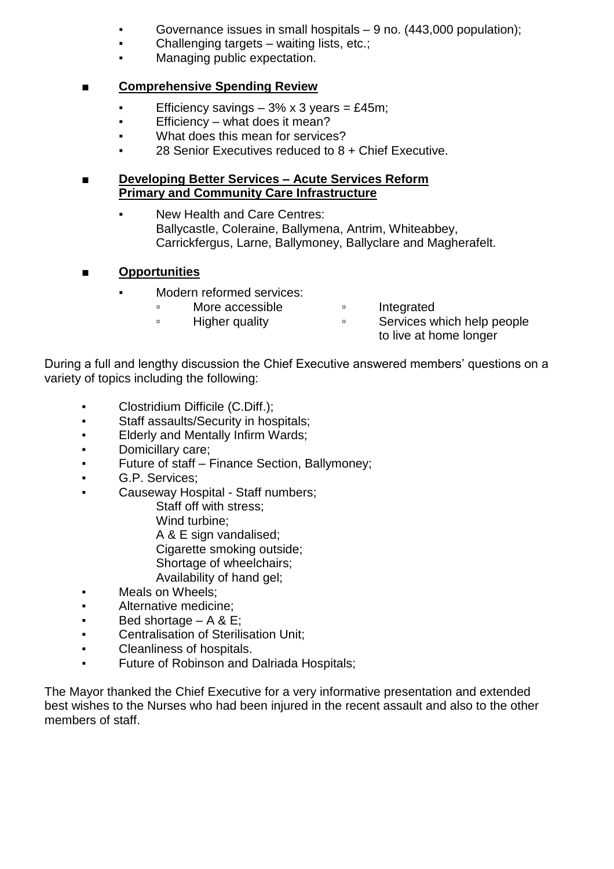- Governance issues in small hospitals  $-9$  no. (443,000 population);
- Challenging targets waiting lists, etc.;
- Managing public expectation.

# ■ **Comprehensive Spending Review**

- Efficiency savings  $-3\% \times 3$  years = £45m;
- Efficiency what does it mean?
- What does this mean for services?
- 28 Senior Executives reduced to  $8 +$  Chief Executive.

# ■ **Developing Better Services –Acute Services Reform Primary and Community Care Infrastructure**

- New Health and Care Centres: Ballycastle, Coleraine, Ballymena, Antrim, Whiteabbey, Carrickfergus, Larne, Ballymoney, Ballyclare and Magherafelt.
- **Opportunities**
	- Modern reformed services:
		- □ More accessible □ Integrated
			-
- 
- □ Higher quality □ □ Services which help people to live at home longer

During a full and lengthy discussion the Chief Executive answered members' questions on a variety of topics including the following:

- Clostridium Difficile (C.Diff.);
- Staff assaults/Security in hospitals;
- **Elderly and Mentally Infirm Wards;**
- Domicillary care;
- **•** Future of staff Finance Section, Ballymoney;
- G.P. Services;
- Causeway Hospital Staff numbers;
	- Staff off with stress;
	- Wind turbine;
	- A & E sign vandalised;
	- Cigarette smoking outside:
	- Shortage of wheelchairs;
	- Availability of hand gel;
- Meals on Wheels;
- Alternative medicine;
- $\bullet$  Bed shortage  $A 8 E$ ;
- Centralisation of Sterilisation Unit;
- Cleanliness of hospitals.
- **Future of Robinson and Dalriada Hospitals;**

The Mayor thanked the Chief Executive for a very informative presentation and extended best wishes to the Nurses who had been injured in the recent assault and also to the other members of staff.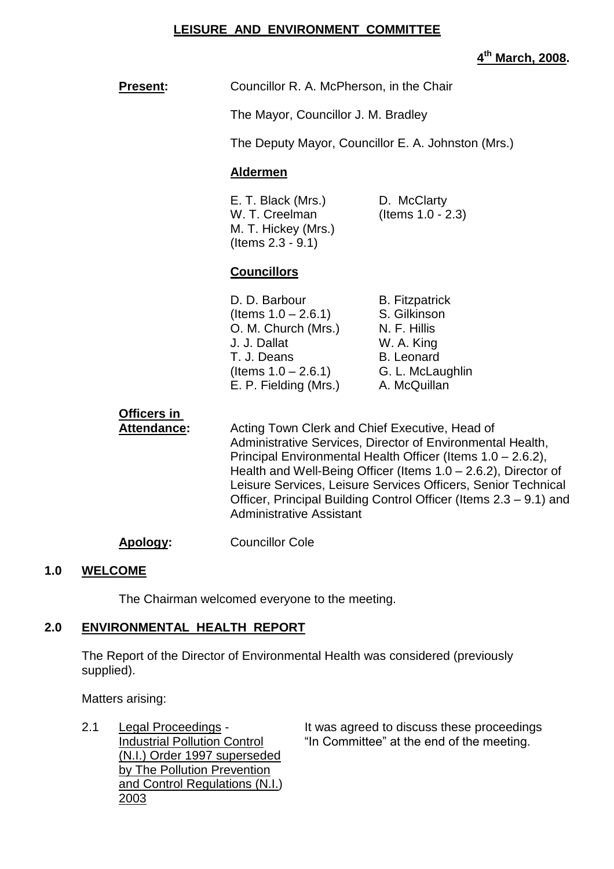#### **LEISURE AND ENVIRONMENT COMMITTEE**

# **4 th March, 2008.**

| <b>Present:</b>                   | Councillor R. A. McPherson, in the Chair                                                                                                                                                                                                                                                                                                                                                                               |                                                                                                                              |
|-----------------------------------|------------------------------------------------------------------------------------------------------------------------------------------------------------------------------------------------------------------------------------------------------------------------------------------------------------------------------------------------------------------------------------------------------------------------|------------------------------------------------------------------------------------------------------------------------------|
|                                   | The Mayor, Councillor J. M. Bradley                                                                                                                                                                                                                                                                                                                                                                                    |                                                                                                                              |
|                                   | The Deputy Mayor, Councillor E. A. Johnston (Mrs.)                                                                                                                                                                                                                                                                                                                                                                     |                                                                                                                              |
|                                   | <b>Aldermen</b>                                                                                                                                                                                                                                                                                                                                                                                                        |                                                                                                                              |
|                                   | E. T. Black (Mrs.)<br>W. T. Creelman<br>M. T. Hickey (Mrs.)<br>(Items $2.3 - 9.1$ )                                                                                                                                                                                                                                                                                                                                    | D. McClarty<br>(Items 1.0 - 2.3)                                                                                             |
|                                   | <b>Councillors</b>                                                                                                                                                                                                                                                                                                                                                                                                     |                                                                                                                              |
|                                   | D. D. Barbour<br>(Items $1.0 - 2.6.1$ )<br>O. M. Church (Mrs.)<br>J. J. Dallat<br>T. J. Deans<br>(Items $1.0 - 2.6.1$ )<br>E. P. Fielding (Mrs.)                                                                                                                                                                                                                                                                       | <b>B.</b> Fitzpatrick<br>S. Gilkinson<br>N. F. Hillis<br>W. A. King<br><b>B.</b> Leonard<br>G. L. McLaughlin<br>A. McQuillan |
| Officers in<br><b>Attendance:</b> | Acting Town Clerk and Chief Executive, Head of<br>Administrative Services, Director of Environmental Health,<br>Principal Environmental Health Officer (Items 1.0 - 2.6.2),<br>Health and Well-Being Officer (Items 1.0 – 2.6.2), Director of<br>Leisure Services, Leisure Services Officers, Senior Technical<br>Officer, Principal Building Control Officer (Items 2.3 – 9.1) and<br><b>Administrative Assistant</b> |                                                                                                                              |

#### **Apology:** Councillor Cole

#### **1.0 WELCOME**

The Chairman welcomed everyone to the meeting.

# **2.0 ENVIRONMENTAL HEALTH REPORT**

The Report of the Director of Environmental Health was considered (previously supplied).

Matters arising:

(N.I.) Order 1997 superseded by The Pollution Prevention and Control Regulations (N.I.) 2003

2.1 Legal Proceedings - It was agreed to discuss these proceedings<br>Industrial Pollution Control "In Committee" at the end of the meeting. "In Committee" at the end of the meeting.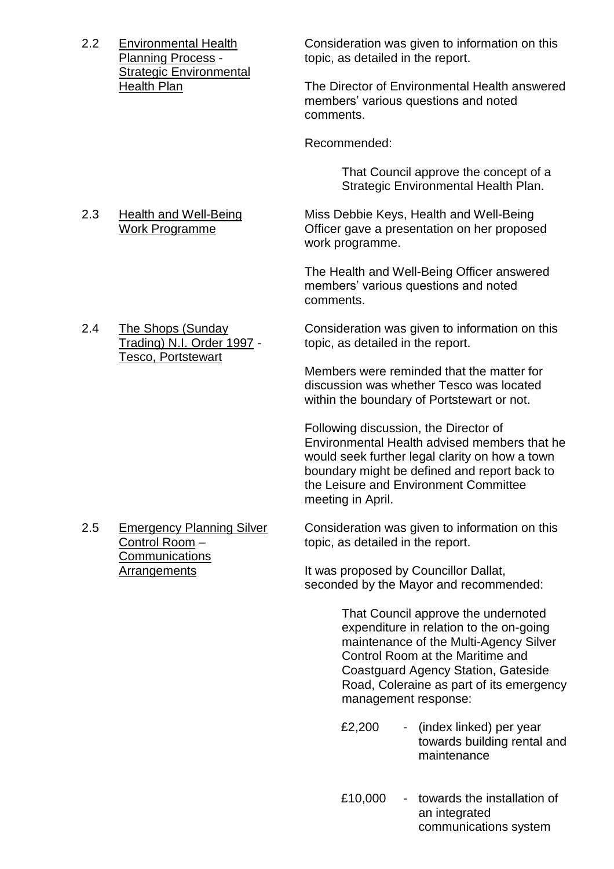Strategic Environmental<br>Health Plan

2.2 Environmental Health Consideration was given to information on this<br>Planning Process - the topic, as detailed in the report. topic, as detailed in the report.

> The Director of Environmental Health answered members' various questions and noted comments.

Recommended:

That Council approve the concept of a Strategic Environmental Health Plan.

2.3 Health and Well-Being Miss Debbie Keys, Health and Well-Being Work Programme **Officer gave a presentation on her proposed** work programme.

> The Health and Well-Being Officer answered members' various questions and noted comments.

2.4 The Shops (Sunday Consideration was given to information on this Trading) N.I. Order 1997 - topic, as detailed in the report.

> Members were reminded that the matter for discussion was whether Tesco was located within the boundary of Portstewart or not.

Following discussion, the Director of Environmental Health advised members that he would seek further legal clarity on how a town boundary might be defined and report back to the Leisure and Environment Committee meeting in April.

2.5 Emergency Planning Silver Consideration was given to information on this Control Room – topic, as detailed in the report.

Arrangements **It was proposed by Councillor Dallat**, seconded by the Mayor and recommended:

> That Council approve the undernoted expenditure in relation to the on-going maintenance of the Multi-Agency Silver Control Room at the Maritime and Coastguard Agency Station, Gateside Road, Coleraine as part of its emergency management response:

- £2,200 (index linked) per year towards building rental and maintenance
- £10,000 towards the installation of an integrated communications system

Tesco, Portstewart

**Communications**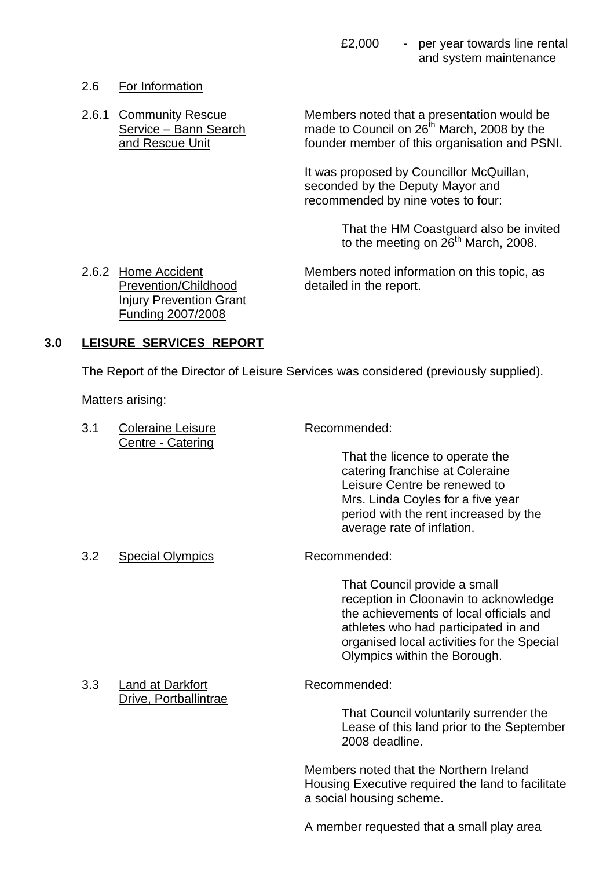# 2.6 For Information

2.6.1 Community Rescue Members noted that a presentation would be Service – Bann Search made to Council on  $26<sup>th</sup>$  March, 2008 by the and Rescue Unit founder member of this organisation and PSNI.

> It was proposed by Councillor McQuillan, seconded by the Deputy Mayor and recommended by nine votes to four:

> > That the HM Coastguard also be invited to the meeting on  $26<sup>th</sup>$  March, 2008.

Prevention/Childhood detailed in the report. Injury Prevention Grant Funding 2007/2008

2.6.2 Home Accident Members noted information on this topic, as

# **3.0 LEISURE SERVICES REPORT**

The Report of the Director of Leisure Services was considered (previously supplied).

Matters arising:

| 3.1 | <b>Coleraine Leisure</b><br>Centre - Catering | Recommended:                                                                                                                                                                                                                           |  |
|-----|-----------------------------------------------|----------------------------------------------------------------------------------------------------------------------------------------------------------------------------------------------------------------------------------------|--|
|     |                                               | That the licence to operate the<br>catering franchise at Coleraine<br>Leisure Centre be renewed to<br>Mrs. Linda Coyles for a five year<br>period with the rent increased by the<br>average rate of inflation.                         |  |
| 3.2 | <b>Special Olympics</b>                       | Recommended:                                                                                                                                                                                                                           |  |
|     |                                               | That Council provide a small<br>reception in Cloonavin to acknowledge<br>the achievements of local officials and<br>athletes who had participated in and<br>organised local activities for the Special<br>Olympics within the Borough. |  |
| 3.3 | Land at Darkfort                              | Recommended:                                                                                                                                                                                                                           |  |
|     | Drive, Portballintrae                         | That Council voluntarily surrender the<br>Lease of this land prior to the September<br>2008 deadline.                                                                                                                                  |  |

Members noted that the Northern Ireland Housing Executive required the land to facilitate a social housing scheme.

A member requested that a small play area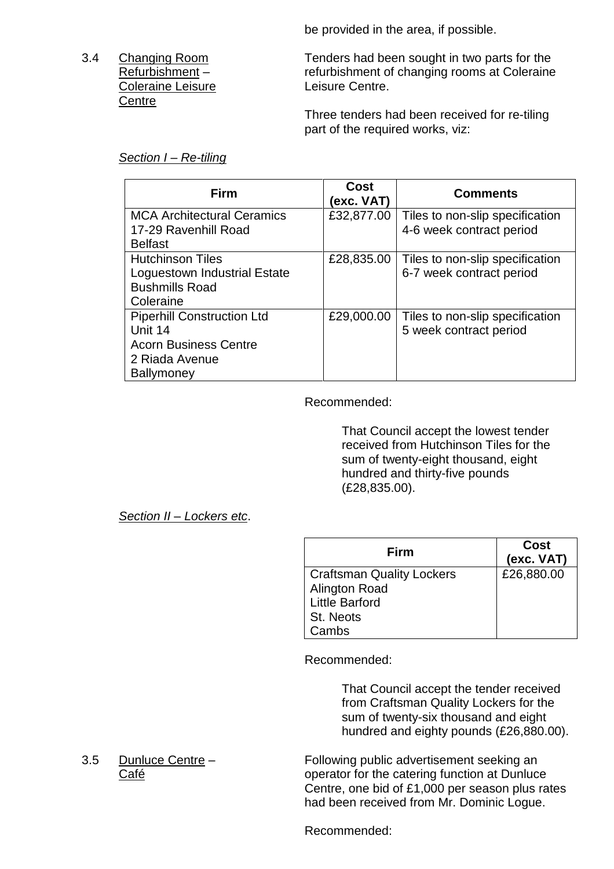be provided in the area, if possible.

# Coleraine Leisure **Coleraine** Leisure Centre. **Centre**

3.4 Changing Room Tenders had been sought in two parts for the Refurbishment – refurbishment of changing rooms at Coleraine

> Three tenders had been received for re-tiling part of the required works, viz:

# *Section I –Re-tiling*

| Firm                                                      | Cost<br>(exc. VAT) | <b>Comments</b>                                             |
|-----------------------------------------------------------|--------------------|-------------------------------------------------------------|
| <b>MCA Architectural Ceramics</b><br>17-29 Ravenhill Road | £32,877.00         | Tiles to non-slip specification<br>4-6 week contract period |
| <b>Belfast</b>                                            |                    |                                                             |
| <b>Hutchinson Tiles</b>                                   | £28,835.00         | Tiles to non-slip specification                             |
| Loguestown Industrial Estate                              |                    | 6-7 week contract period                                    |
| <b>Bushmills Road</b>                                     |                    |                                                             |
| Coleraine                                                 |                    |                                                             |
| <b>Piperhill Construction Ltd</b>                         | £29,000.00         | Tiles to non-slip specification                             |
| Unit 14                                                   |                    | 5 week contract period                                      |
| <b>Acorn Business Centre</b>                              |                    |                                                             |
| 2 Riada Avenue                                            |                    |                                                             |
| <b>Ballymoney</b>                                         |                    |                                                             |

# Recommended:

That Council accept the lowest tender received from Hutchinson Tiles for the sum of twenty-eight thousand, eight hundred and thirty-five pounds (£28,835.00).

*Section II –Lockers etc*.

| Firm                      | Cost<br>(exc. VAT) |
|---------------------------|--------------------|
| Craftsman Quality Lockers | £26,880.00         |
| <b>Alington Road</b>      |                    |
| Little Barford            |                    |
| <b>St. Neots</b>          |                    |
| Cambs                     |                    |

Recommended:

That Council accept the tender received from Craftsman Quality Lockers for the sum of twenty-six thousand and eight hundred and eighty pounds (£26,880.00).

#### 3.5 Dunluce Centre – Following public advertisement seeking an Café **Café Café Catering function at Dunluce Café Café Catering function at Dunluce** Centre, one bid of £1,000 per season plus rates had been received from Mr. Dominic Logue.

Recommended: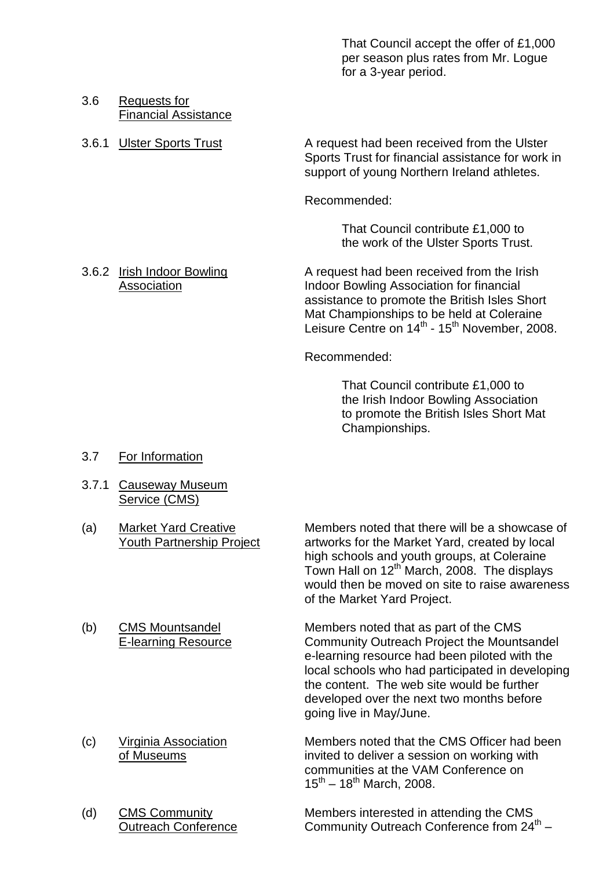That Council accept the offer of £1,000 per season plus rates from Mr. Logue for a 3-year period.

#### 3.6 Requests for Financial Assistance

3.6.1 Ulster Sports Trust **A** request had been received from the Ulster Sports Trust for financial assistance for work in support of young Northern Ireland athletes.

Recommended:

That Council contribute £1,000 to the work of the Ulster Sports Trust.

3.6.2 Irish Indoor Bowling A request had been received from the Irish Association **Indoor Bowling Association for financial** assistance to promote the British Isles Short Mat Championships to be held at Coleraine Leisure Centre on 14<sup>th</sup> - 15<sup>th</sup> November, 2008.

Recommended:

That Council contribute £1,000 to the Irish Indoor Bowling Association to promote the British Isles Short Mat Championships.

- 3.7 For Information
- 3.7.1 Causeway Museum Service (CMS)
- 

(a) Market Yard Creative Members noted that there will be a showcase of Youth Partnership Project artworks for the Market Yard, created by local high schools and youth groups, at Coleraine Town Hall on 12<sup>th</sup> March, 2008. The displays would then be moved on site to raise awareness of the Market Yard Project.

(b) CMS Mountsandel Members noted that as part of the CMS E-learning Resource Community Outreach Project the Mountsandel e-learning resource had been piloted with the local schools who had participated in developing the content. The web site would be further developed over the next two months before going live in May/June.

(c) Virginia Association Members noted that the CMS Officer had been of Museums invited to deliver a session on working with communities at the VAM Conference on  $15^{th}$  – 18<sup>th</sup> March, 2008.

(d) CMS Community Members interested in attending the CMS Outreach Conference Community Outreach Conference from  $24^{\text{th}}$  -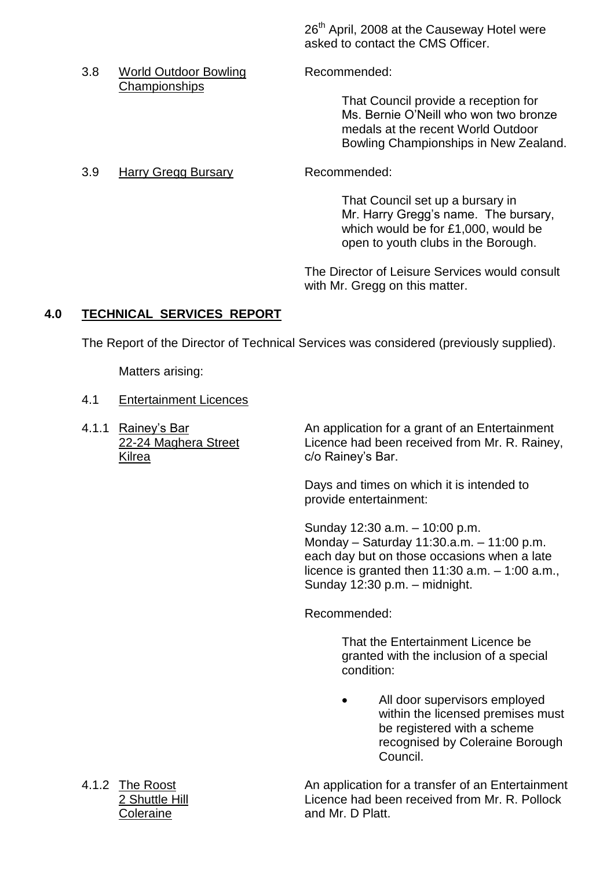26<sup>th</sup> April, 2008 at the Causeway Hotel were asked to contact the CMS Officer.

- 3.8 World Outdoor Bowling Recommended: **Championships** That Council provide a reception for Ms. Bernie O'Neill who won two bronze medals at the recent World Outdoor
	- Bowling Championships in New Zealand.
- 3.9 Harry Gregg Bursary Recommended:

That Council set up a bursary in Mr. Harry Gregg's name. The bursary, which would be for £1,000, would be open to youth clubs in the Borough.

The Director of Leisure Services would consult with Mr. Gregg on this matter.

# **4.0 TECHNICAL SERVICES REPORT**

The Report of the Director of Technical Services was considered (previously supplied).

Matters arising:

- 4.1 Entertainment Licences
- Kilrea C/o Rainey's Bar.

4.1.1 Rainey's Bar An application for a grant of an Entertainment 22-24 Maghera Street Licence had been received from Mr. R. Rainey,

> Days and times on which it is intended to provide entertainment:

Sunday 12:30 a.m. - 10:00 p.m. Monday - Saturday 11:30.a.m. - 11:00 p.m. each day but on those occasions when a late licence is granted then  $11:30$  a.m.  $-1:00$  a.m., Sunday 12:30 p.m. - midnight.

Recommended:

That the Entertainment Licence be granted with the inclusion of a special condition:

 All door supervisors employed within the licensed premises must be registered with a scheme recognised by Coleraine Borough Council.

4.1.2 The Roost **An application for a transfer of an Entertainment** 2 Shuttle Hill **Licence had been received from Mr. R. Pollock** Coleraine **and Mr. D Platt.**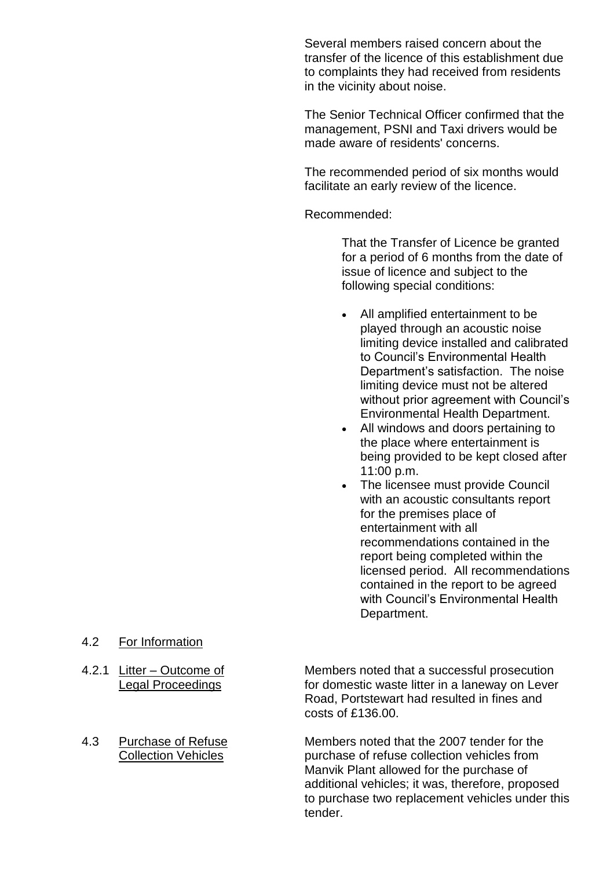Several members raised concern about the transfer of the licence of this establishment due to complaints they had received from residents in the vicinity about noise.

The Senior Technical Officer confirmed that the management, PSNI and Taxi drivers would be made aware of residents' concerns.

The recommended period of six months would facilitate an early review of the licence.

Recommended:

That the Transfer of Licence be granted for a period of 6 months from the date of issue of licence and subject to the following special conditions:

- All amplified entertainment to be played through an acoustic noise limiting device installed and calibrated to Council's Environmental Health Department's satisfaction. The noise limiting device must not be altered without prior agreement with Council's Environmental Health Department.
- All windows and doors pertaining to the place where entertainment is being provided to be kept closed after 11:00 p.m.
- The licensee must provide Council with an acoustic consultants report for the premises place of entertainment with all recommendations contained in the report being completed within the licensed period. All recommendations contained in the report to be agreed with Council's Environmental Health Department.

- 4.2 For Information
- 
- 

4.2.1 Litter –Outcome of Members noted that a successful prosecution Legal Proceedings **For domestic waste litter in a laneway on Lever** Road, Portstewart had resulted in fines and costs of £136.00.

4.3 Purchase of Refuse Members noted that the 2007 tender for the Collection Vehicles purchase of refuse collection vehicles from Manvik Plant allowed for the purchase of additional vehicles; it was, therefore, proposed to purchase two replacement vehicles under this tender.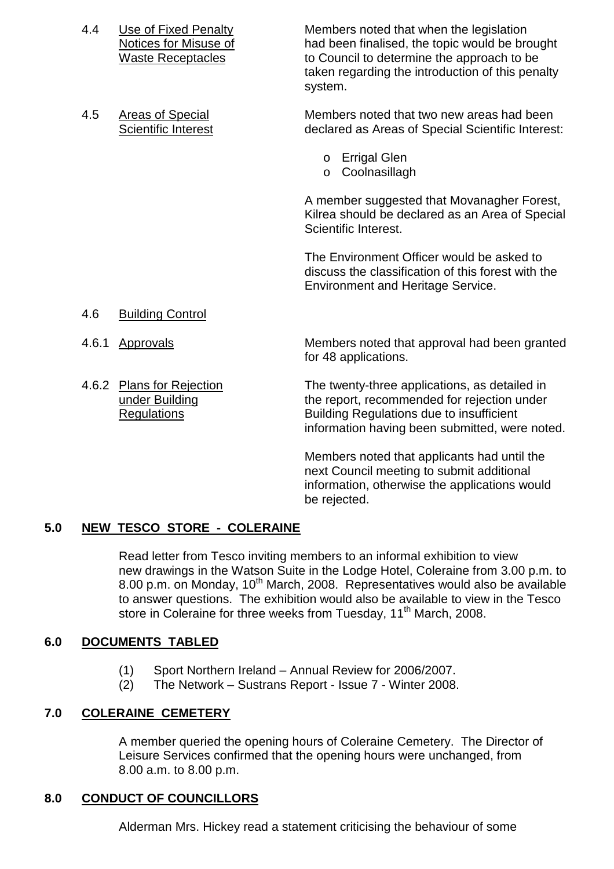- 4.4 Use of Fixed Penalty Members noted that when the legislation Notices for Misuse of had been finalised, the topic would be brought Waste Receptacles to Council to determine the approach to be taken regarding the introduction of this penalty system.
- 4.5 Areas of Special Members noted that two new areas had been Scientific Interest declared as Areas of Special Scientific Interest:
	- o Errigal Glen
	- o Coolnasillagh

A member suggested that Movanagher Forest, Kilrea should be declared as an Area of Special Scientific Interest.

The Environment Officer would be asked to discuss the classification of this forest with the Environment and Heritage Service.

- 4.6 Building Control
- 
- 

4.6.1 Approvals Members noted that approval had been granted for 48 applications.

4.6.2 Plans for Rejection The twenty-three applications, as detailed in under Building the report, recommended for rejection under Regulations Building Regulations due to insufficient information having been submitted, were noted.

> Members noted that applicants had until the next Council meeting to submit additional information, otherwise the applications would be rejected.

#### **5.0 NEW TESCO STORE - COLERAINE**

Read letter from Tesco inviting members to an informal exhibition to view new drawings in the Watson Suite in the Lodge Hotel, Coleraine from 3.00 p.m. to 8.00 p.m. on Monday, 10<sup>th</sup> March, 2008. Representatives would also be available to answer questions. The exhibition would also be available to view in the Tesco store in Coleraine for three weeks from Tuesday, 11<sup>th</sup> March, 2008.

# **6.0 DOCUMENTS TABLED**

- (1) Sport Northern Ireland –Annual Review for 2006/2007.
- (2) The Network Sustrans Report Issue 7 Winter 2008.

#### **7.0 COLERAINE CEMETERY**

A member queried the opening hours of Coleraine Cemetery. The Director of Leisure Services confirmed that the opening hours were unchanged, from 8.00 a.m. to 8.00 p.m.

#### **8.0 CONDUCT OF COUNCILLORS**

Alderman Mrs. Hickey read a statement criticising the behaviour of some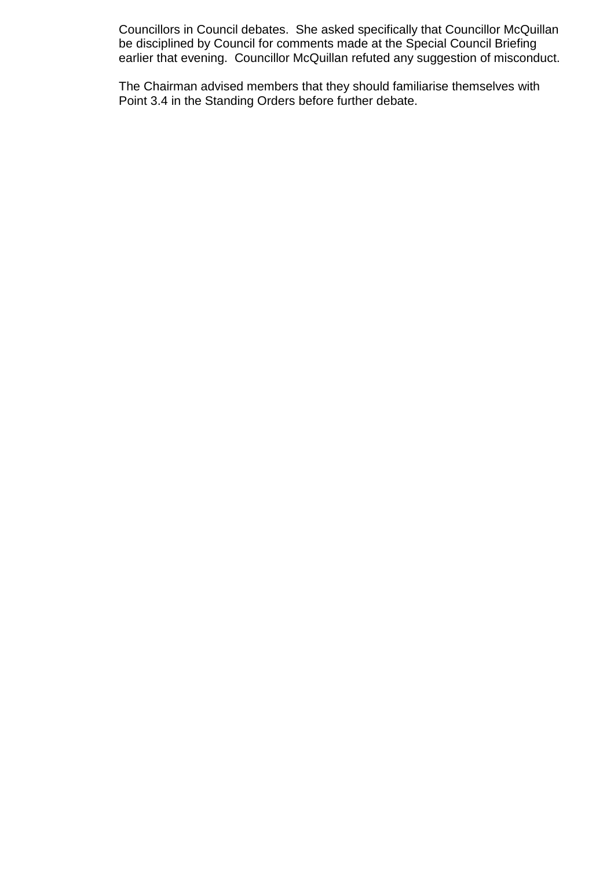Councillors in Council debates. She asked specifically that Councillor McQuillan be disciplined by Council for comments made at the Special Council Briefing earlier that evening. Councillor McQuillan refuted any suggestion of misconduct.

The Chairman advised members that they should familiarise themselves with Point 3.4 in the Standing Orders before further debate.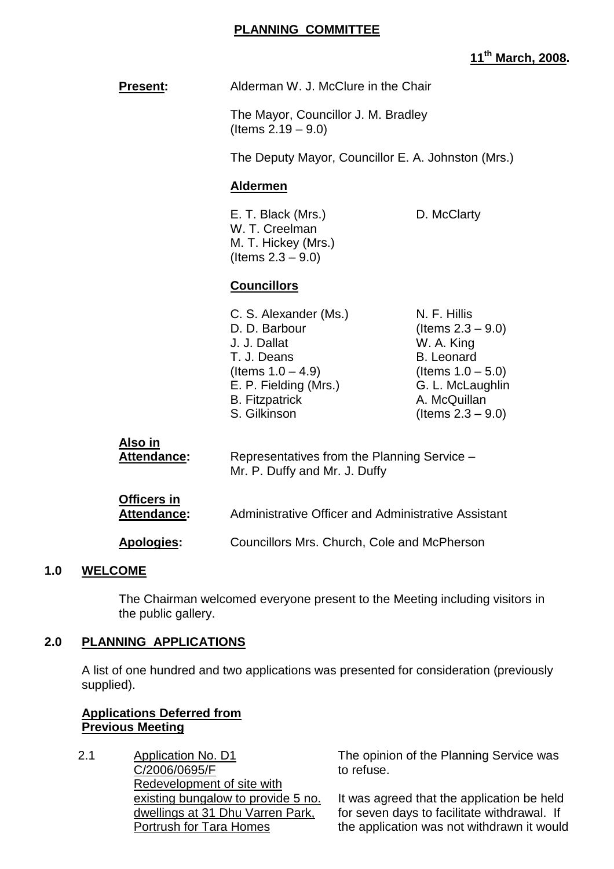#### **PLANNING COMMITTEE**

# **11th March, 2008.**

|     | <b>Present:</b>                          | Alderman W. J. McClure in the Chair                                                                                                                             |                                                                                                                                                             |
|-----|------------------------------------------|-----------------------------------------------------------------------------------------------------------------------------------------------------------------|-------------------------------------------------------------------------------------------------------------------------------------------------------------|
|     |                                          | The Mayor, Councillor J. M. Bradley<br>(Items $2.19 - 9.0$ )                                                                                                    |                                                                                                                                                             |
|     |                                          | The Deputy Mayor, Councillor E. A. Johnston (Mrs.)                                                                                                              |                                                                                                                                                             |
|     |                                          | <b>Aldermen</b>                                                                                                                                                 |                                                                                                                                                             |
|     |                                          | E. T. Black (Mrs.)<br>W. T. Creelman<br>M. T. Hickey (Mrs.)<br>(Items $2.3 - 9.0$ )                                                                             | D. McClarty                                                                                                                                                 |
|     |                                          | <b>Councillors</b>                                                                                                                                              |                                                                                                                                                             |
|     |                                          | C. S. Alexander (Ms.)<br>D. D. Barbour<br>J. J. Dallat<br>T. J. Deans<br>(Items $1.0 - 4.9$ )<br>E. P. Fielding (Mrs.)<br><b>B.</b> Fitzpatrick<br>S. Gilkinson | N. F. Hillis<br>(Items $2.3 - 9.0$ )<br>W. A. King<br><b>B.</b> Leonard<br>(Items $1.0 - 5.0$ )<br>G. L. McLaughlin<br>A. McQuillan<br>(Items $2.3 - 9.0$ ) |
|     | Also in<br><b>Attendance:</b>            | Representatives from the Planning Service -<br>Mr. P. Duffy and Mr. J. Duffy                                                                                    |                                                                                                                                                             |
|     | <b>Officers in</b><br><b>Attendance:</b> | Administrative Officer and Administrative Assistant                                                                                                             |                                                                                                                                                             |
|     | Apologies:                               | Councillors Mrs. Church, Cole and McPherson                                                                                                                     |                                                                                                                                                             |
| 1.0 | <b>WELCOME</b>                           |                                                                                                                                                                 |                                                                                                                                                             |

The Chairman welcomed everyone present to the Meeting including visitors in the public gallery.

# **2.0 PLANNING APPLICATIONS**

A list of one hundred and two applications was presented for consideration (previously supplied).

#### **Applications Deferred from Previous Meeting**

2.1 Application No. D1 C/2006/0695/F Redevelopment of site with existing bungalow to provide 5 no. dwellings at 31 Dhu Varren Park, Portrush for Tara Homes

The opinion of the Planning Service was to refuse.

It was agreed that the application be held for seven days to facilitate withdrawal. If the application was not withdrawn it would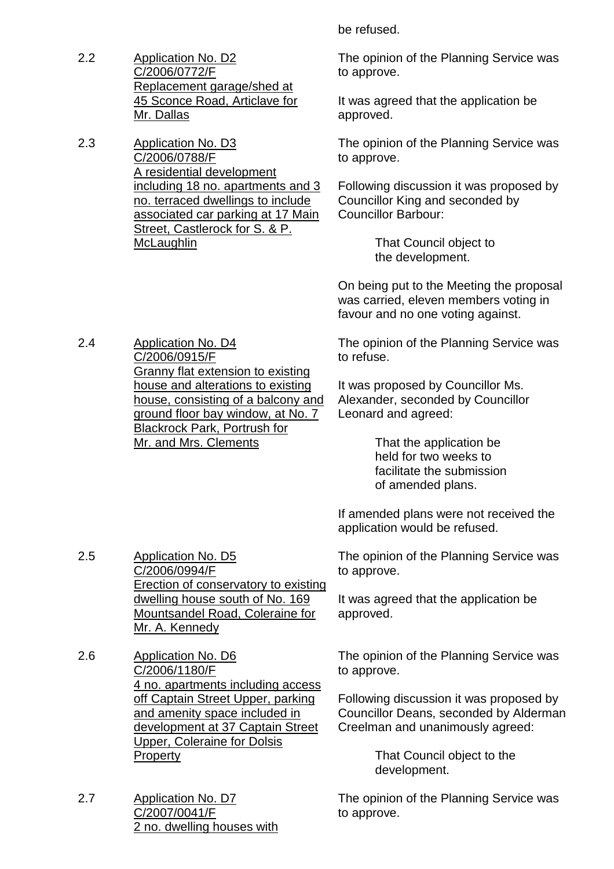- 2.2 Application No. D2 C/2006/0772/F Replacement garage/shed at 45 Sconce Road, Articlave for Mr. Dallas
- 2.3 Application No. D3 C/2006/0788/F A residential development including 18 no. apartments and 3 no. terraced dwellings to include associated car parking at 17 Main Street, Castlerock for S. & P. **McLaughlin**

be refused.

The opinion of the Planning Service was to approve.

It was agreed that the application be approved.

The opinion of the Planning Service was to approve.

Following discussion it was proposed by Councillor King and seconded by Councillor Barbour:

> That Council object to the development.

On being put to the Meeting the proposal was carried, eleven members voting in favour and no one voting against.

The opinion of the Planning Service was to refuse.

It was proposed by Councillor Ms. Alexander, seconded by Councillor Leonard and agreed:

> That the application be held for two weeks to facilitate the submission of amended plans.

If amended plans were not received the application would be refused.

2.5 Application No. D5 C/2006/0994/F Erection of conservatory to existing dwelling house south of No. 169 Mountsandel Road, Coleraine for Mr. A. Kennedy

- 2.6 Application No. D6 C/2006/1180/F 4 no. apartments including access off Captain Street Upper, parking and amenity space included in development at 37 Captain Street Upper, Coleraine for Dolsis **Property**
- 2.7 Application No. D7 C/2007/0041/F 2 no. dwelling houses with

The opinion of the Planning Service was to approve.

It was agreed that the application be approved.

The opinion of the Planning Service was to approve.

Following discussion it was proposed by Councillor Deans, seconded by Alderman Creelman and unanimously agreed:

> That Council object to the development.

The opinion of the Planning Service was to approve.

2.4 Application No. D4 C/2006/0915/F Granny flat extension to existing house and alterations to existing house, consisting of a balcony and ground floor bay window, at No. 7 Blackrock Park, Portrush for Mr. and Mrs. Clements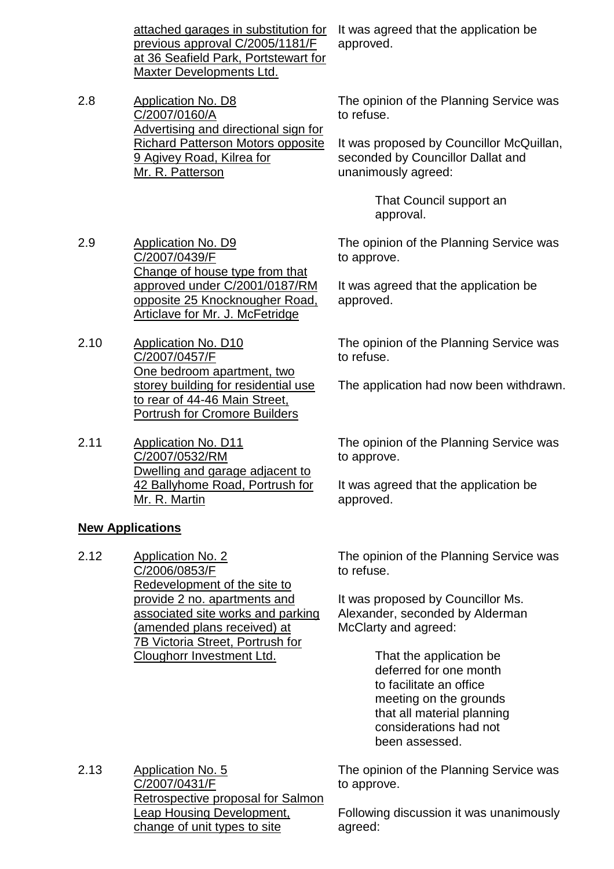attached garages in substitution for previous approval C/2005/1181/F at 36 Seafield Park, Portstewart for Maxter Developments Ltd.

2.8 Application No. D8 C/2007/0160/A Advertising and directional sign for Richard Patterson Motors opposite 9 Agivey Road, Kilrea for Mr. R. Patterson

> Change of house type from that approved under C/2001/0187/RM opposite 25 Knocknougher Road, Articlave for Mr. J. McFetridge

One bedroom apartment, two storey building for residential use to rear of 44-46 Main Street, Portrush for Cromore Builders

Dwelling and garage adjacent to 42 Ballyhome Road, Portrush for

2.9 Application No. D9

2.10 Application No. D10 C/2007/0457/F

2.11 Application No. D11

C/2007/0532/RM

Mr. R. Martin

C/2007/0439/F

It was agreed that the application be approved.

The opinion of the Planning Service was to refuse.

It was proposed by Councillor McQuillan, seconded by Councillor Dallat and unanimously agreed:

> That Council support an approval.

The opinion of the Planning Service was to approve.

It was agreed that the application be approved.

The opinion of the Planning Service was to refuse.

The application had now been withdrawn.

The opinion of the Planning Service was to approve.

It was agreed that the application be approved.

#### **New Applications**

2.12 Application No. 2 C/2006/0853/F Redevelopment of the site to provide 2 no. apartments and associated site works and parking (amended plans received) at 7B Victoria Street, Portrush for Cloughorr Investment Ltd.

The opinion of the Planning Service was to refuse.

It was proposed by Councillor Ms. Alexander, seconded by Alderman McClarty and agreed:

> That the application be deferred for one month to facilitate an office meeting on the grounds that all material planning considerations had not been assessed.

2.13 Application No. 5 C/2007/0431/F Retrospective proposal for Salmon Leap Housing Development, change of unit types to site

The opinion of the Planning Service was to approve.

Following discussion it was unanimously agreed: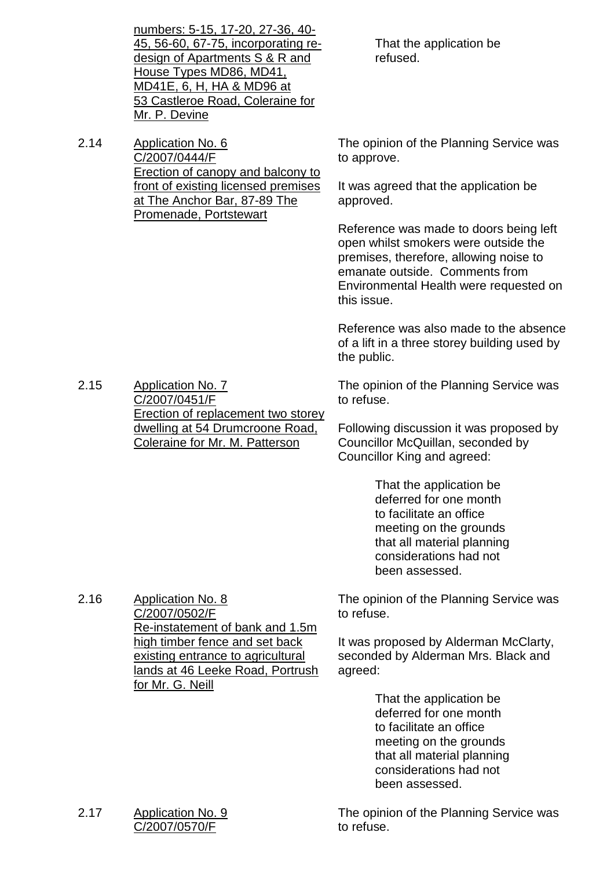|      | <u>numbers: 5-15, 17-20, 27-36, 40-</u><br>45, 56-60, 67-75, incorporating re-<br>design of Apartments S & R and<br>House Types MD86, MD41,<br><u>MD41E, 6, H, HA &amp; MD96 at </u><br>53 Castleroe Road, Coleraine for<br>Mr. P. Devine | That the application be<br>refused.                                                                                                                                                                                 |
|------|-------------------------------------------------------------------------------------------------------------------------------------------------------------------------------------------------------------------------------------------|---------------------------------------------------------------------------------------------------------------------------------------------------------------------------------------------------------------------|
| 2.14 | <b>Application No. 6</b><br>C/2007/0444/F<br><b>Erection of canopy and balcony to</b>                                                                                                                                                     | The opinion of the Planning Service was<br>to approve.                                                                                                                                                              |
|      | front of existing licensed premises<br>at The Anchor Bar, 87-89 The<br>Promenade, Portstewart                                                                                                                                             | It was agreed that the application be<br>approved.                                                                                                                                                                  |
|      |                                                                                                                                                                                                                                           | Reference was made to doors being left<br>open whilst smokers were outside the<br>premises, therefore, allowing noise to<br>emanate outside. Comments from<br>Environmental Health were requested on<br>this issue. |
|      |                                                                                                                                                                                                                                           | Reference was also made to the absence<br>of a lift in a three storey building used by<br>the public.                                                                                                               |
| 2.15 | <b>Application No. 7</b><br>C/2007/0451/F<br>Erection of replacement two storey                                                                                                                                                           | The opinion of the Planning Service was<br>to refuse.                                                                                                                                                               |
|      | dwelling at 54 Drumcroone Road,<br><b>Coleraine for Mr. M. Patterson</b>                                                                                                                                                                  | Following discussion it was proposed by<br>Councillor McQuillan, seconded by<br>Councillor King and agreed:                                                                                                         |
|      |                                                                                                                                                                                                                                           | That the application be<br>deferred for one month<br>to facilitate an office<br>meeting on the grounds<br>that all material planning<br>considerations had not<br>been assessed.                                    |
| 2.16 | <b>Application No. 8</b><br>C/2007/0502/F<br>Re-instatement of bank and 1.5m                                                                                                                                                              | The opinion of the Planning Service was<br>to refuse.                                                                                                                                                               |
|      | high timber fence and set back<br>existing entrance to agricultural<br>lands at 46 Leeke Road, Portrush<br><u>for Mr. G. Neill</u>                                                                                                        | It was proposed by Alderman McClarty,<br>seconded by Alderman Mrs. Black and<br>agreed:                                                                                                                             |
|      |                                                                                                                                                                                                                                           | That the application be<br>deferred for one month<br>to facilitate an office<br>meeting on the grounds<br>that all material planning<br>considerations had not<br>been assessed.                                    |
|      |                                                                                                                                                                                                                                           |                                                                                                                                                                                                                     |

2.17 Application No. 9 C/2007/0570/F

The opinion of the Planning Service was to refuse.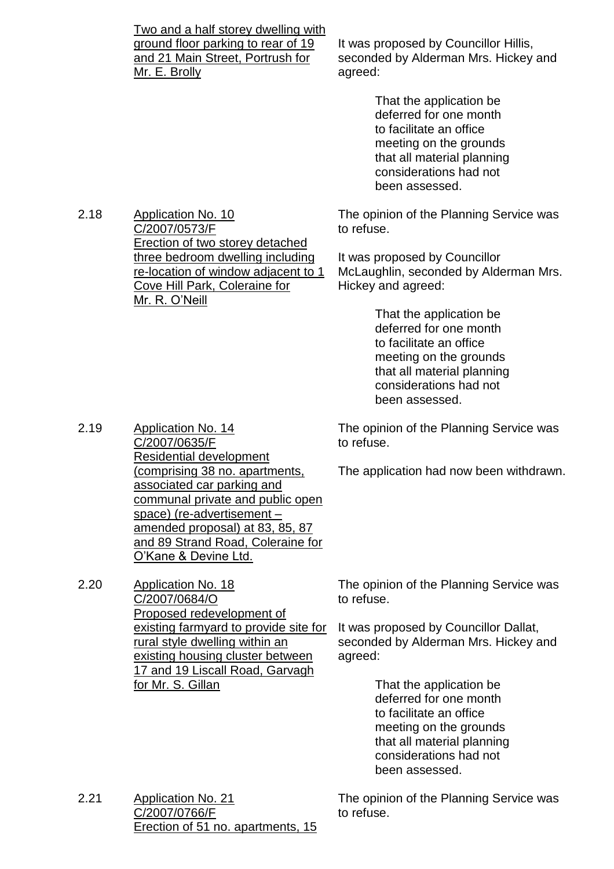Two and a half storey dwelling with ground floor parking to rear of 19 and 21 Main Street, Portrush for Mr. E. Brolly It was proposed by Councillor Hillis, seconded by Alderman Mrs. Hickey and agreed: That the application be deferred for one month to facilitate an office meeting on the grounds that all material planning considerations had not been assessed. 2.18 Application No. 10 C/2007/0573/F Erection of two storey detached three bedroom dwelling including re-location of window adjacent to 1 Cove Hill Park, Coleraine for Mr. R. O'Neill The opinion of the Planning Service was to refuse. It was proposed by Councillor McLaughlin, seconded by Alderman Mrs. Hickey and agreed: That the application be

deferred for one month to facilitate an office meeting on the grounds that all material planning considerations had not been assessed.

The opinion of the Planning Service was to refuse.

The application had now been withdrawn.

2.19 Application No. 14 C/2007/0635/F Residential development (comprising 38 no. apartments, associated car parking and communal private and public open space) (re-advertisement – amended proposal) at 83, 85, 87 and 89 Strand Road, Coleraine for O'Kane & Devine Ltd.

> The opinion of the Planning Service was to refuse.

It was proposed by Councillor Dallat, seconded by Alderman Mrs. Hickey and agreed:

> That the application be deferred for one month to facilitate an office meeting on the grounds that all material planning considerations had not been assessed.

2.21 Application No. 21 C/2007/0766/F Erection of 51 no. apartments, 15

The opinion of the Planning Service was to refuse.

2.20 Application No. 18 C/2007/0684/O

Proposed redevelopment of existing farmyard to provide site for rural style dwelling within an existing housing cluster between 17 and 19 Liscall Road, Garvagh for Mr. S. Gillan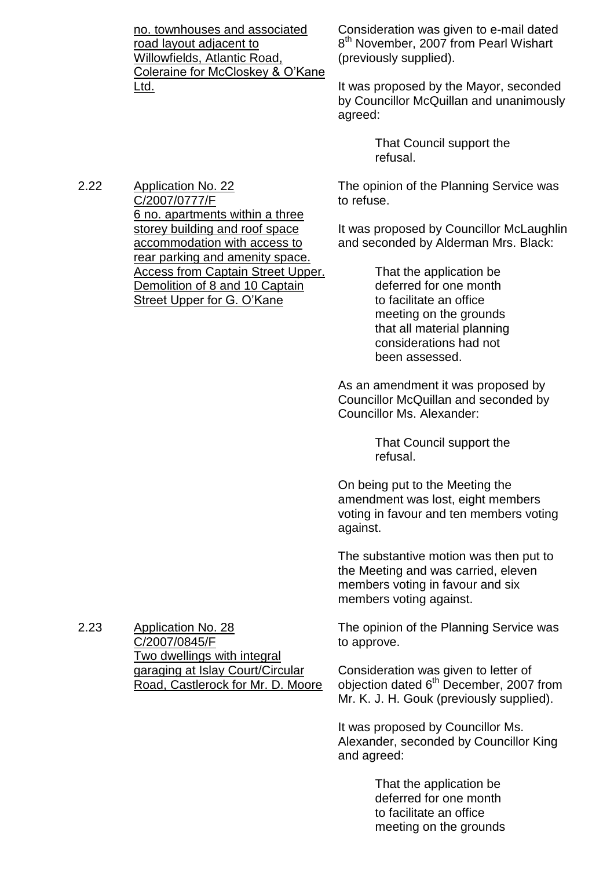no. townhouses and associated road layout adjacent to Willowfields, Atlantic Road, Coleraine for McCloskey & O'Kane Ltd.

Consideration was given to e-mail dated 8<sup>th</sup> November, 2007 from Pearl Wishart (previously supplied).

It was proposed by the Mayor, seconded by Councillor McQuillan and unanimously agreed:

> That Council support the refusal.

The opinion of the Planning Service was to refuse.

It was proposed by Councillor McLaughlin and seconded by Alderman Mrs. Black:

> That the application be deferred for one month to facilitate an office meeting on the grounds that all material planning considerations had not been assessed.

As an amendment it was proposed by Councillor McQuillan and seconded by Councillor Ms. Alexander:

> That Council support the refusal.

On being put to the Meeting the amendment was lost, eight members voting in favour and ten members voting against.

The substantive motion was then put to the Meeting and was carried, eleven members voting in favour and six members voting against.

The opinion of the Planning Service was to approve.

Consideration was given to letter of objection dated 6<sup>th</sup> December, 2007 from Mr. K. J. H. Gouk (previously supplied).

It was proposed by Councillor Ms. Alexander, seconded by Councillor King and agreed:

> That the application be deferred for one month to facilitate an office meeting on the grounds

2.22 Application No. 22 C/2007/0777/F 6 no. apartments within a three storey building and roof space accommodation with access to rear parking and amenity space. Access from Captain Street Upper. Demolition of 8 and 10 Captain Street Upper for G. O'Kane

2.23 Application No. 28 C/2007/0845/F Two dwellings with integral garaging at Islay Court/Circular Road, Castlerock for Mr. D. Moore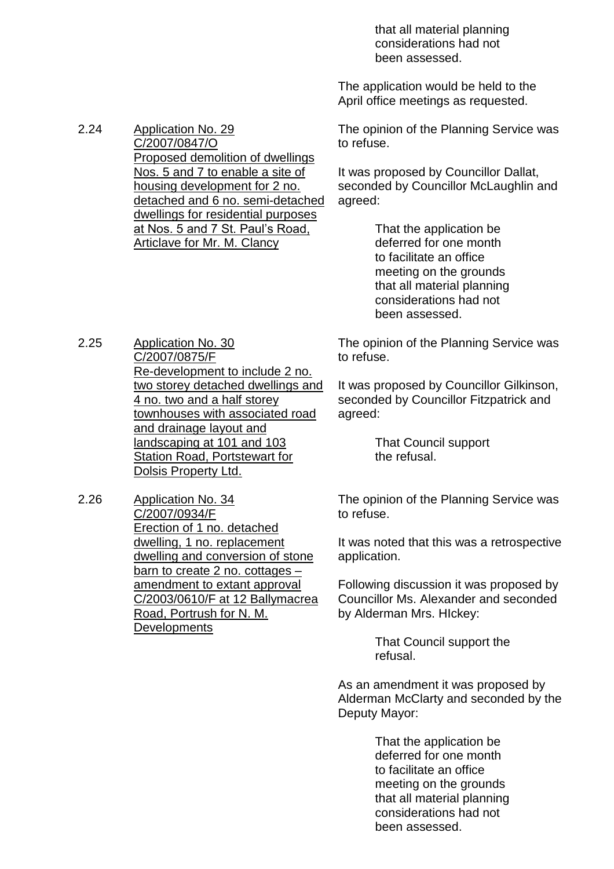that all material planning considerations had not been assessed.

The application would be held to the April office meetings as requested.

The opinion of the Planning Service was to refuse.

It was proposed by Councillor Dallat, seconded by Councillor McLaughlin and agreed:

> That the application be deferred for one month to facilitate an office meeting on the grounds that all material planning considerations had not been assessed.

The opinion of the Planning Service was to refuse.

It was proposed by Councillor Gilkinson, seconded by Councillor Fitzpatrick and agreed:

> That Council support the refusal.

The opinion of the Planning Service was to refuse.

It was noted that this was a retrospective application.

Following discussion it was proposed by Councillor Ms. Alexander and seconded by Alderman Mrs. HIckey:

> That Council support the refusal.

As an amendment it was proposed by Alderman McClarty and seconded by the Deputy Mayor:

> That the application be deferred for one month to facilitate an office meeting on the grounds that all material planning considerations had not been assessed.

2.24 Application No. 29 C/2007/0847/O Proposed demolition of dwellings Nos. 5 and 7 to enable a site of housing development for 2 no. detached and 6 no. semi-detached dwellings for residential purposes at Nos. 5 and 7 St. Paul's Road, Articlave for Mr. M. Clancy

2.25 Application No. 30 C/2007/0875/F Re-development to include 2 no. two storey detached dwellings and 4 no. two and a half storey townhouses with associated road and drainage layout and landscaping at 101 and 103 Station Road, Portstewart for Dolsis Property Ltd.

2.26 Application No. 34 C/2007/0934/F Erection of 1 no. detached dwelling, 1 no. replacement dwelling and conversion of stone barn to create 2 no. cottages – amendment to extant approval C/2003/0610/F at 12 Ballymacrea Road, Portrush for N. M. **Developments**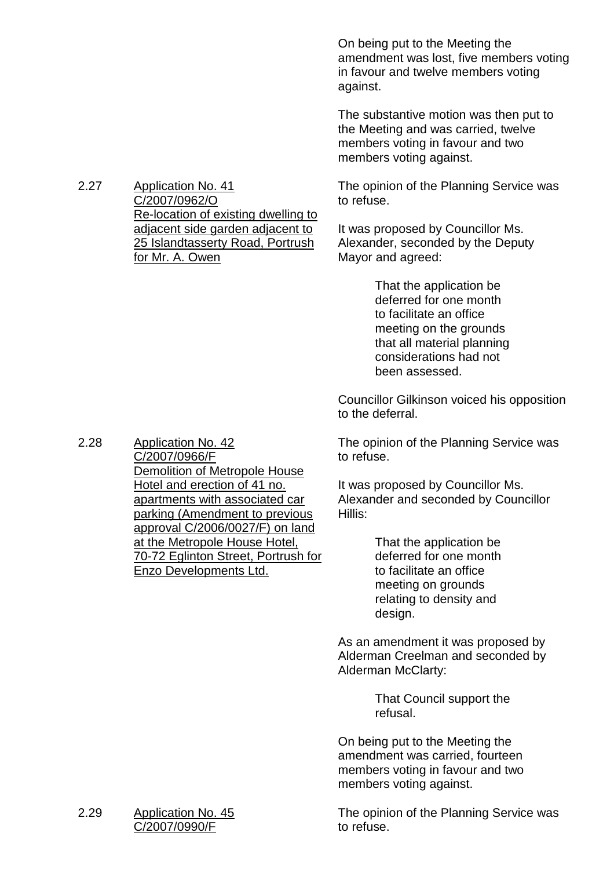On being put to the Meeting the amendment was lost, five members voting in favour and twelve members voting against.

The substantive motion was then put to the Meeting and was carried, twelve members voting in favour and two members voting against.

The opinion of the Planning Service was to refuse.

It was proposed by Councillor Ms. Alexander, seconded by the Deputy Mayor and agreed:

> That the application be deferred for one month to facilitate an office meeting on the grounds that all material planning considerations had not been assessed.

Councillor Gilkinson voiced his opposition to the deferral.

The opinion of the Planning Service was to refuse.

It was proposed by Councillor Ms. Alexander and seconded by Councillor Hillis:

> That the application be deferred for one month to facilitate an office meeting on grounds relating to density and design.

As an amendment it was proposed by Alderman Creelman and seconded by Alderman McClarty:

> That Council support the refusal.

On being put to the Meeting the amendment was carried, fourteen members voting in favour and two members voting against.

The opinion of the Planning Service was to refuse.

2.27 Application No. 41 C/2007/0962/O Re-location of existing dwelling to adjacent side garden adjacent to 25 Islandtasserty Road, Portrush for Mr. A. Owen

2.28 Application No. 42 C/2007/0966/F Demolition of Metropole House Hotel and erection of 41 no. apartments with associated car parking (Amendment to previous approval C/2006/0027/F) on land at the Metropole House Hotel, 70-72 Eglinton Street, Portrush for Enzo Developments Ltd.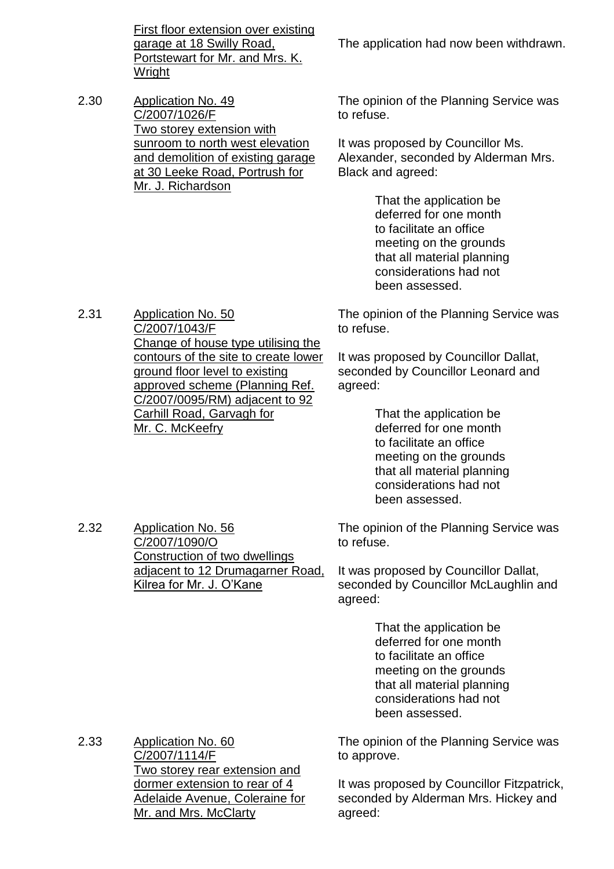First floor extension over existing garage at 18 Swilly Road, Portstewart for Mr. and Mrs. K. Wright

2.30 Application No. 49 C/2007/1026/F Two storey extension with sunroom to north west elevation and demolition of existing garage at 30 Leeke Road, Portrush for Mr. J. Richardson

The application had now been withdrawn.

The opinion of the Planning Service was to refuse.

It was proposed by Councillor Ms. Alexander, seconded by Alderman Mrs. Black and agreed:

> That the application be deferred for one month to facilitate an office meeting on the grounds that all material planning considerations had not been assessed.

The opinion of the Planning Service was to refuse.

It was proposed by Councillor Dallat, seconded by Councillor Leonard and agreed:

> That the application be deferred for one month to facilitate an office meeting on the grounds that all material planning considerations had not been assessed.

The opinion of the Planning Service was to refuse.

It was proposed by Councillor Dallat, seconded by Councillor McLaughlin and agreed:

> That the application be deferred for one month to facilitate an office meeting on the grounds that all material planning considerations had not been assessed.

The opinion of the Planning Service was to approve.

It was proposed by Councillor Fitzpatrick, seconded by Alderman Mrs. Hickey and agreed:

2.31 Application No. 50 C/2007/1043/F Change of house type utilising the contours of the site to create lower ground floor level to existing approved scheme (Planning Ref. C/2007/0095/RM) adjacent to 92 Carhill Road, Garvagh for Mr. C. McKeefry

2.32 Application No. 56 C/2007/1090/O Construction of two dwellings adjacent to 12 Drumagarner Road, Kilrea for Mr. J. O'Kane

2.33 Application No. 60 C/2007/1114/F Two storey rear extension and dormer extension to rear of 4 Adelaide Avenue, Coleraine for Mr. and Mrs. McClarty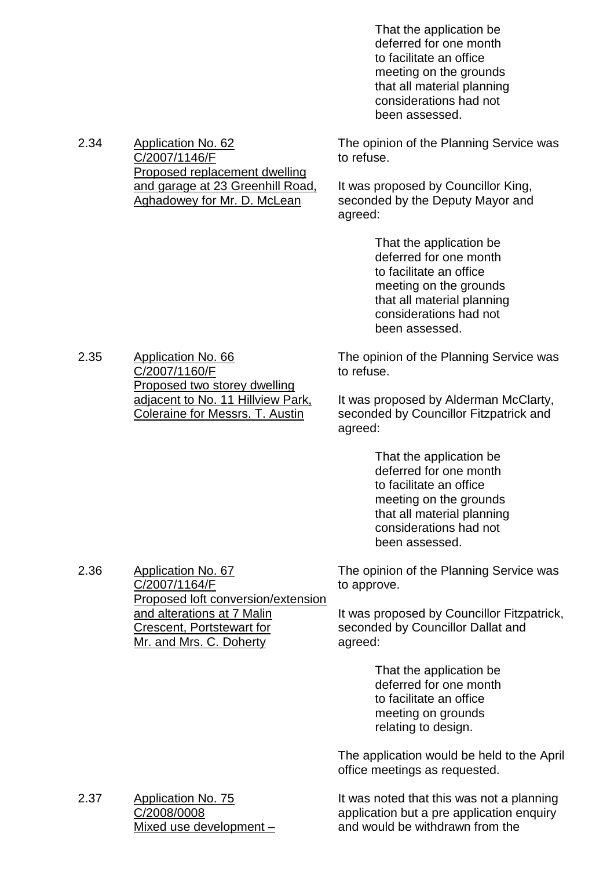That the application be deferred for one month to facilitate an office meeting on the grounds that all material planning considerations had not been assessed.

The opinion of the Planning Service was to refuse.

It was proposed by Councillor King, seconded by the Deputy Mayor and agreed:

> That the application be deferred for one month to facilitate an office meeting on the grounds that all material planning considerations had not been assessed.

The opinion of the Planning Service was to refuse.

It was proposed by Alderman McClarty, seconded by Councillor Fitzpatrick and agreed:

> That the application be deferred for one month to facilitate an office meeting on the grounds that all material planning considerations had not been assessed.

The opinion of the Planning Service was to approve.

It was proposed by Councillor Fitzpatrick, seconded by Councillor Dallat and agreed:

> That the application be deferred for one month to facilitate an office meeting on grounds relating to design.

The application would be held to the April office meetings as requested.

It was noted that this was not a planning application but a pre application enquiry and would be withdrawn from the

2.34 Application No. 62 C/2007/1146/F Proposed replacement dwelling and garage at 23 Greenhill Road, Aghadowey for Mr. D. McLean

2.35 Application No. 66 C/2007/1160/F Proposed two storey dwelling adjacent to No. 11 Hillview Park, Coleraine for Messrs. T. Austin

2.37 Application No. 75 C/2008/0008 Mixed use development –

2.36 Application No. 67

C/2007/1164/F

Proposed loft conversion/extension

and alterations at 7 Malin Crescent, Portstewart for Mr. and Mrs. C. Doherty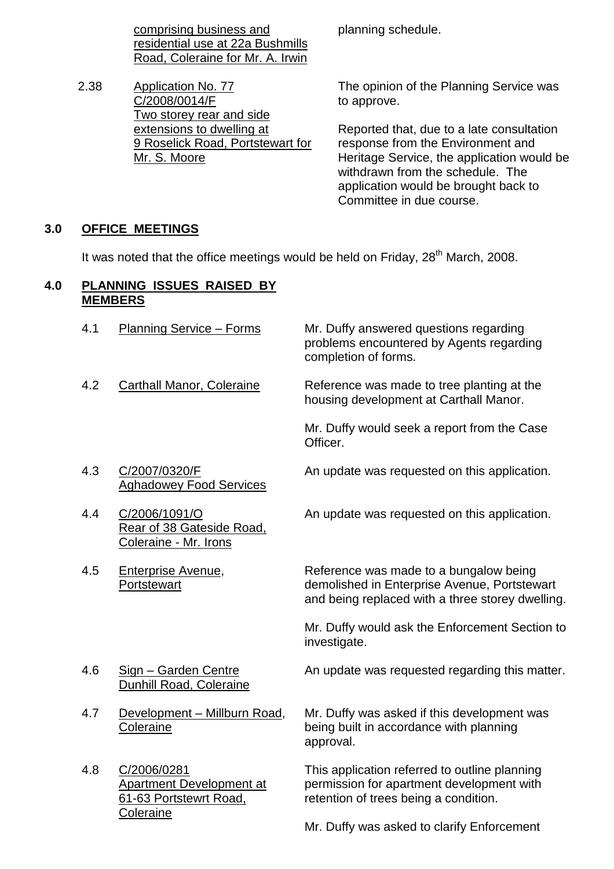comprising business and residential use at 22a Bushmills Road, Coleraine for Mr. A. Irwin

2.38 Application No. 77 C/2008/0014/F Two storey rear and side extensions to dwelling at 9 Roselick Road, Portstewart for Mr. S. Moore

planning schedule.

The opinion of the Planning Service was to approve.

Reported that, due to a late consultation response from the Environment and Heritage Service, the application would be withdrawn from the schedule. The application would be brought back to Committee in due course.

# **3.0 OFFICE MEETINGS**

It was noted that the office meetings would be held on Friday, 28<sup>th</sup> March, 2008.

#### **4.0 PLANNING ISSUES RAISED BY MEMBERS**

| 4.1 | <b>Planning Service - Forms</b>                                          | Mr. Duffy answered questions regarding<br>problems encountered by Agents regarding<br>completion of forms.                                 |
|-----|--------------------------------------------------------------------------|--------------------------------------------------------------------------------------------------------------------------------------------|
| 4.2 | <b>Carthall Manor, Coleraine</b>                                         | Reference was made to tree planting at the<br>housing development at Carthall Manor.                                                       |
|     |                                                                          | Mr. Duffy would seek a report from the Case<br>Officer.                                                                                    |
| 4.3 | C/2007/0320/F<br><b>Aghadowey Food Services</b>                          | An update was requested on this application.                                                                                               |
| 4.4 | C/2006/1091/O<br>Rear of 38 Gateside Road,<br>Coleraine - Mr. Irons      | An update was requested on this application.                                                                                               |
| 4.5 | Enterprise Avenue,<br>Portstewart                                        | Reference was made to a bungalow being<br>demolished in Enterprise Avenue, Portstewart<br>and being replaced with a three storey dwelling. |
|     |                                                                          | Mr. Duffy would ask the Enforcement Section to<br>investigate.                                                                             |
| 4.6 | Sign - Garden Centre<br>Dunhill Road, Coleraine                          | An update was requested regarding this matter.                                                                                             |
| 4.7 | Development - Millburn Road,<br>Coleraine                                | Mr. Duffy was asked if this development was<br>being built in accordance with planning<br>approval.                                        |
| 4.8 | C/2006/0281<br><b>Apartment Development at</b><br>61-63 Portstewrt Road, | This application referred to outline planning<br>permission for apartment development with<br>retention of trees being a condition.        |
|     | Coleraine                                                                | Mr. Duffy was asked to clarify Enforcement                                                                                                 |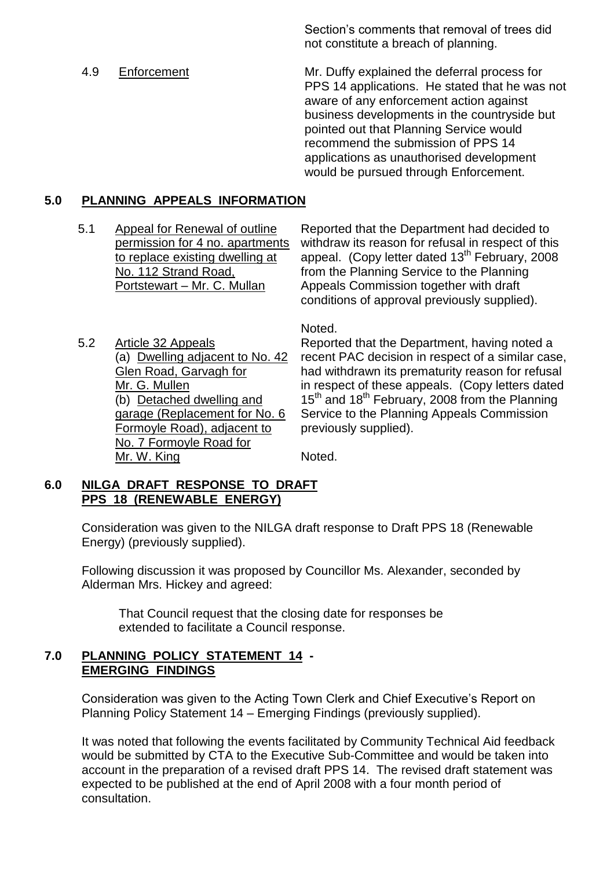Section's comments that removal of trees did not constitute a breach of planning.

4.9 Enforcement Mr. Duffy explained the deferral process for PPS 14 applications. He stated that he was not aware of any enforcement action against business developments in the countryside but pointed out that Planning Service would recommend the submission of PPS 14 applications as unauthorised development would be pursued through Enforcement.

#### **5.0 PLANNING APPEALS INFORMATION**

5.1 Appeal for Renewal of outline permission for 4 no. apartments to replace existing dwelling at No. 112 Strand Road, Portstewart – Mr. C. Mullan

Reported that the Department had decided to withdraw its reason for refusal in respect of this appeal. (Copy letter dated  $13<sup>th</sup>$  February, 2008 from the Planning Service to the Planning Appeals Commission together with draft conditions of approval previously supplied).

5.2 Article 32 Appeals (a) Dwelling adjacent to No. 42 Glen Road, Garvagh for Mr. G. Mullen (b) Detached dwelling and garage (Replacement for No. 6 Formoyle Road), adjacent to No. 7 Formoyle Road for Mr. W. King

Noted.

Reported that the Department, having noted a recent PAC decision in respect of a similar case, had withdrawn its prematurity reason for refusal in respect of these appeals. (Copy letters dated 15<sup>th</sup> and 18<sup>th</sup> February, 2008 from the Planning Service to the Planning Appeals Commission previously supplied).

Noted.

#### **6.0 NILGA DRAFT RESPONSE TO DRAFT PPS 18 (RENEWABLE ENERGY)**

Consideration was given to the NILGA draft response to Draft PPS 18 (Renewable Energy) (previously supplied).

Following discussion it was proposed by Councillor Ms. Alexander, seconded by Alderman Mrs. Hickey and agreed:

That Council request that the closing date for responses be extended to facilitate a Council response.

#### **7.0 PLANNING POLICY STATEMENT 14 - EMERGING FINDINGS**

Consideration was given to the Acting Town Clerk and Chief Executive's Report on Planning Policy Statement 14 – Emerging Findings (previously supplied).

It was noted that following the events facilitated by Community Technical Aid feedback would be submitted by CTA to the Executive Sub-Committee and would be taken into account in the preparation of a revised draft PPS 14. The revised draft statement was expected to be published at the end of April 2008 with a four month period of consultation.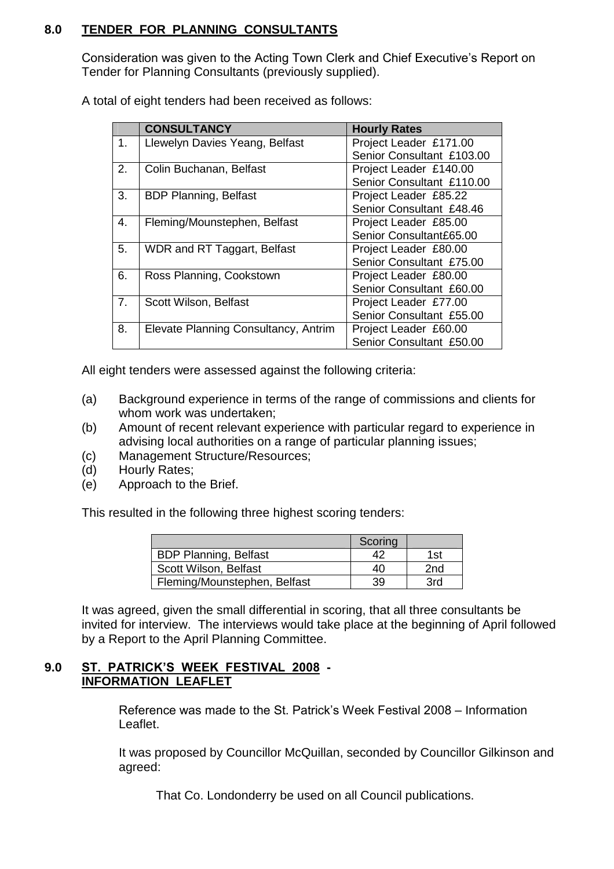# **8.0 TENDER FOR PLANNING CONSULTANTS**

Consideration was given to the Acting Town Clerk and Chief Executive's Report on Tender for Planning Consultants (previously supplied).

A total of eight tenders had been received as follows:

|    | <b>CONSULTANCY</b>                   | <b>Hourly Rates</b>       |
|----|--------------------------------------|---------------------------|
| 1. | Llewelyn Davies Yeang, Belfast       | Project Leader £171.00    |
|    |                                      | Senior Consultant £103.00 |
| 2. | Colin Buchanan, Belfast              | Project Leader £140.00    |
|    |                                      | Senior Consultant £110.00 |
| 3. | <b>BDP Planning, Belfast</b>         | Project Leader £85.22     |
|    |                                      | Senior Consultant £48.46  |
| 4. | Fleming/Mounstephen, Belfast         | Project Leader £85.00     |
|    |                                      | Senior Consultant£65.00   |
| 5. | WDR and RT Taggart, Belfast          | Project Leader £80.00     |
|    |                                      | Senior Consultant £75.00  |
| 6. | Ross Planning, Cookstown             | Project Leader £80.00     |
|    |                                      | Senior Consultant £60.00  |
| 7. | Scott Wilson, Belfast                | Project Leader £77.00     |
|    |                                      | Senior Consultant £55.00  |
| 8. | Elevate Planning Consultancy, Antrim | Project Leader £60.00     |
|    |                                      | Senior Consultant £50.00  |

All eight tenders were assessed against the following criteria:

- (a) Background experience in terms of the range of commissions and clients for whom work was undertaken:
- (b) Amount of recent relevant experience with particular regard to experience in advising local authorities on a range of particular planning issues;
- (c) Management Structure/Resources;
- (d) Hourly Rates;
- (e) Approach to the Brief.

This resulted in the following three highest scoring tenders:

|                              | Scoring |     |
|------------------------------|---------|-----|
| <b>BDP Planning, Belfast</b> |         | 1st |
| Scott Wilson, Belfast        | 40      | 2nd |
| Fleming/Mounstephen, Belfast | 39      | 3rd |

It was agreed, given the small differential in scoring, that all three consultants be invited for interview. The interviews would take place at the beginning of April followed by a Report to the April Planning Committee.

#### **9.0 ST.PATRICK'S WEEK FESTIVAL 2008- INFORMATION LEAFLET**

Reference was made to the St. Patrick's Week Festival 2008 – Information Leaflet.

It was proposed by Councillor McQuillan, seconded by Councillor Gilkinson and agreed:

That Co. Londonderry be used on all Council publications.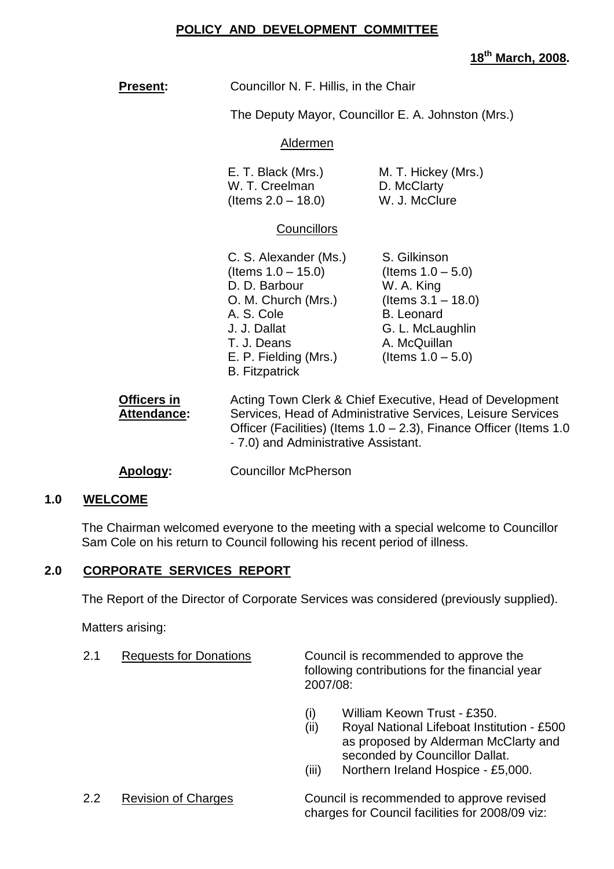# **POLICY AND DEVELOPMENT COMMITTEE**

**18th March, 2008.**

| <b>Present:</b>                   | Councillor N. F. Hillis, in the Chair                                                                                                                                                                                                 |                                                                                                                                                              |
|-----------------------------------|---------------------------------------------------------------------------------------------------------------------------------------------------------------------------------------------------------------------------------------|--------------------------------------------------------------------------------------------------------------------------------------------------------------|
|                                   | The Deputy Mayor, Councillor E. A. Johnston (Mrs.)                                                                                                                                                                                    |                                                                                                                                                              |
|                                   | Aldermen                                                                                                                                                                                                                              |                                                                                                                                                              |
|                                   | E. T. Black (Mrs.)<br>W. T. Creelman<br>(Items $2.0 - 18.0$ )                                                                                                                                                                         | M. T. Hickey (Mrs.)<br>D. McClarty<br>W. J. McClure                                                                                                          |
|                                   | <b>Councillors</b>                                                                                                                                                                                                                    |                                                                                                                                                              |
|                                   | C. S. Alexander (Ms.)<br>(Items 1.0 – 15.0)<br>D. D. Barbour<br>O. M. Church (Mrs.)<br>A. S. Cole<br>J. J. Dallat<br>T. J. Deans<br>E. P. Fielding (Mrs.)<br><b>B.</b> Fitzpatrick                                                    | S. Gilkinson<br>(Items $1.0 - 5.0$ )<br>W. A. King<br>(Items $3.1 - 18.0$ )<br><b>B.</b> Leonard<br>G. L. McLaughlin<br>A. McQuillan<br>(Items $1.0 - 5.0$ ) |
| <b>Officers in</b><br>Attendance: | Acting Town Clerk & Chief Executive, Head of Development<br>Services, Head of Administrative Services, Leisure Services<br>Officer (Facilities) (Items 1.0 – 2.3), Finance Officer (Items 1.0<br>- 7.0) and Administrative Assistant. |                                                                                                                                                              |
| Apology:                          | <b>Councillor McPherson</b>                                                                                                                                                                                                           |                                                                                                                                                              |

#### **1.0 WELCOME**

The Chairman welcomed everyone to the meeting with a special welcome to Councillor Sam Cole on his return to Council following his recent period of illness.

# **2.0 CORPORATE SERVICES REPORT**

The Report of the Director of Corporate Services was considered (previously supplied).

Matters arising:

| 2.1 | <b>Requests for Donations</b> | Council is recommended to approve the                      |
|-----|-------------------------------|------------------------------------------------------------|
|     |                               | following contributions for the financial year<br>2007/08: |

- (i) William Keown Trust £350.
- (ii) Royal National Lifeboat Institution £500 as proposed by Alderman McClarty and seconded by Councillor Dallat.
- (iii) Northern Ireland Hospice £5,000.

2.2 Revision of Charges Council is recommended to approve revised charges for Council facilities for 2008/09 viz: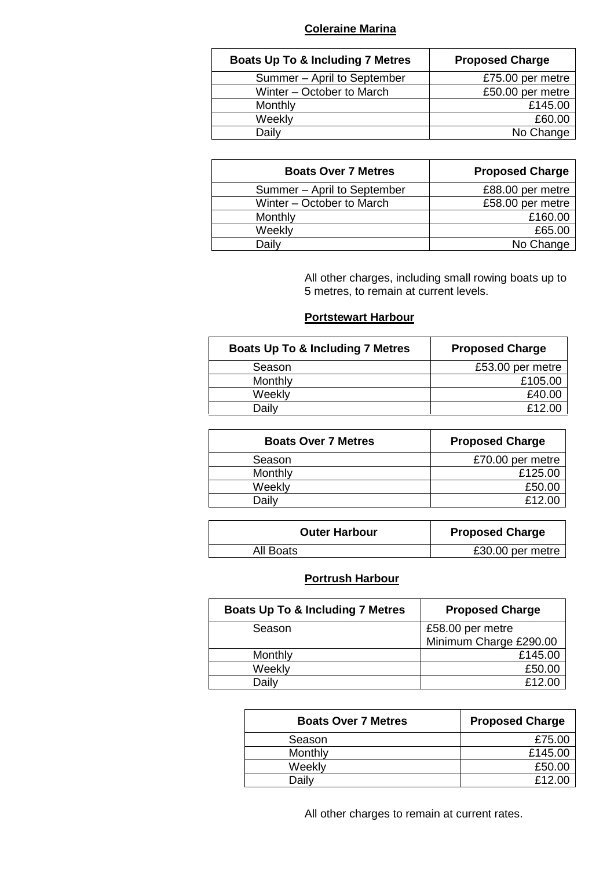#### **Coleraine Marina**

| <b>Boats Up To &amp; Including 7 Metres</b> | <b>Proposed Charge</b> |
|---------------------------------------------|------------------------|
| Summer - April to September                 | £75.00 per metre       |
| Winter - October to March                   | £50.00 per metre       |
| Monthly                                     | £145.00                |
| Weekly                                      | £60.00                 |
| Daily                                       | No Change              |

| <b>Boats Over 7 Metres</b>  | <b>Proposed Charge</b> |
|-----------------------------|------------------------|
| Summer - April to September | £88.00 per metre       |
| Winter - October to March   | £58.00 per metre       |
| Monthly                     | £160.00                |
| Weekly                      | £65.00                 |
| Daily                       | No Change              |

All other charges, including small rowing boats up to 5 metres, to remain at current levels.

#### **Portstewart Harbour**

| <b>Boats Up To &amp; Including 7 Metres</b> | <b>Proposed Charge</b> |
|---------------------------------------------|------------------------|
| Season                                      | £53.00 per metre       |
| Monthly                                     | £105.00                |
| Weekly                                      | £40.00                 |
| Daily                                       | £12.00                 |

| <b>Boats Over 7 Metres</b> | <b>Proposed Charge</b> |
|----------------------------|------------------------|
| Season                     | £70.00 per metre       |
| Monthly                    | £125.00                |
| Weekly                     | £50.00                 |
| Dailv                      | £12.00                 |

| <b>Outer Harbour</b> | <b>Proposed Charge</b> |
|----------------------|------------------------|
| All Boats            | £30.00 per metre       |

# **Portrush Harbour**

| <b>Boats Up To &amp; Including 7 Metres</b> | <b>Proposed Charge</b> |
|---------------------------------------------|------------------------|
| Season                                      | £58.00 per metre       |
|                                             | Minimum Charge £290.00 |
| Monthly                                     | £145.00                |
| Weekly                                      | £50.00                 |
| Daily                                       | £12.00                 |

| <b>Boats Over 7 Metres</b> | <b>Proposed Charge</b> |
|----------------------------|------------------------|
| Season                     | £75.00                 |
| Monthly                    | £145.00                |
| Weekly                     | £50.00                 |
| Dailv                      | £12.00                 |

All other charges to remain at current rates.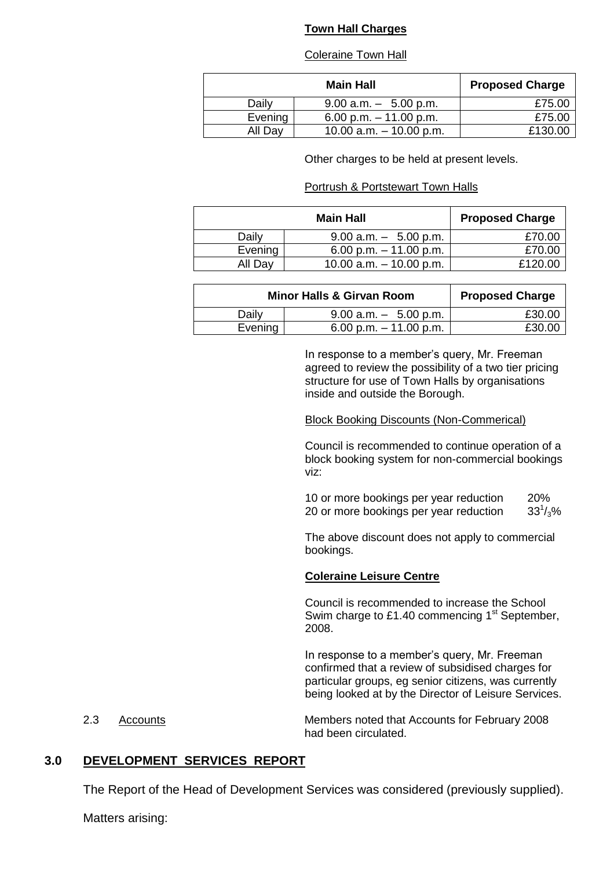#### **Town Hall Charges**

#### Coleraine Town Hall

|         | <b>Main Hall</b>          | <b>Proposed Charge</b> |
|---------|---------------------------|------------------------|
| Daily   | $9.00$ a.m. $-5.00$ p.m.  | £75.00                 |
| Evening | 6.00 p.m. $-11.00$ p.m.   | £75.00                 |
| All Day | 10.00 a.m. $-$ 10.00 p.m. | £130.00                |

Other charges to be held at present levels.

#### Portrush & Portstewart Town Halls

|         | <b>Main Hall</b>          | <b>Proposed Charge</b> |
|---------|---------------------------|------------------------|
| Daily   | $9.00$ a.m. $-5.00$ p.m.  | £70.00                 |
| Evening | 6.00 p.m. $-11.00$ p.m.   | £70.00                 |
| All Day | 10.00 a.m. $-$ 10.00 p.m. | £120.00                |

| <b>Minor Halls &amp; Girvan Room</b> |                          | <b>Proposed Charge</b> |
|--------------------------------------|--------------------------|------------------------|
| Daily                                | $9.00$ a.m. $-5.00$ p.m. | £30.00                 |
| Evening                              | 6.00 p.m. $-11.00$ p.m.  | £30.00                 |

In response to a member's query, Mr. Freeman agreed to review the possibility of a two tier pricing structure for use of Town Halls by organisations inside and outside the Borough.

#### Block Booking Discounts (Non-Commerical)

Council is recommended to continue operation of a block booking system for non-commercial bookings viz:

10 or more bookings per year reduction 20% 20 or more bookings per year reduction  $33^{1}/_{3}\%$ 

The above discount does not apply to commercial bookings.

#### **Coleraine Leisure Centre**

Council is recommended to increase the School Swim charge to £1.40 commencing 1<sup>st</sup> September, 2008.

In response to a member's query, Mr. Freeman confirmed that a review of subsidised charges for particular groups, eg senior citizens, was currently being looked at by the Director of Leisure Services.

2.3 Accounts Members noted that Accounts for February 2008 had been circulated.

#### **3.0 DEVELOPMENT SERVICES REPORT**

The Report of the Head of Development Services was considered (previously supplied).

Matters arising: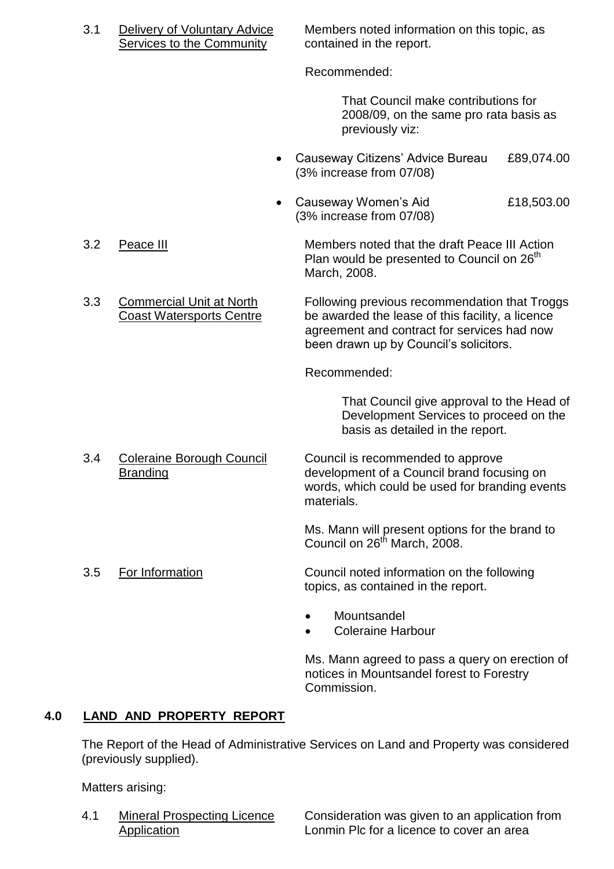Services to the Community contained in the report.

3.1 Delivery of Voluntary Advice Members noted information on this topic, as

Recommended:

That Council make contributions for 2008/09, on the same pro rata basis as previously viz:

- Causeway Citizens' Advice Bureau £89,074.00 (3% increase from 07/08)
- Causeway Women's Aid  $£18,503.00$ (3% increase from 07/08)

3.2 Peace III Members noted that the draft Peace III Action Plan would be presented to Council on  $26<sup>th</sup>$ March, 2008.

3.3 Commercial Unit at North Following previous recommendation that Troggs<br>Coast Watersports Centre be awarded the lease of this facility, a licence be awarded the lease of this facility, a licence agreement and contract for services had now been drawn up by Council's solicitors.

Recommended:

That Council give approval to the Head of Development Services to proceed on the basis as detailed in the report.

3.4 Coleraine Borough Council Council is recommended to approve Branding development of a Council brand focusing on words, which could be used for branding events materials.

> Ms. Mann will present options for the brand to Council on 26<sup>th</sup> March, 2008.

3.5 For Information Council noted information on the following topics, as contained in the report.

- **Mountsandel**
- Coleraine Harbour

Ms. Mann agreed to pass a query on erection of notices in Mountsandel forest to Forestry Commission.

# **4.0 LAND AND PROPERTY REPORT**

The Report of the Head of Administrative Services on Land and Property was considered (previously supplied).

Matters arising:

4.1 Mineral Prospecting Licence Consideration was given to an application from Application **Lonmin Plc for a licence to cover an area**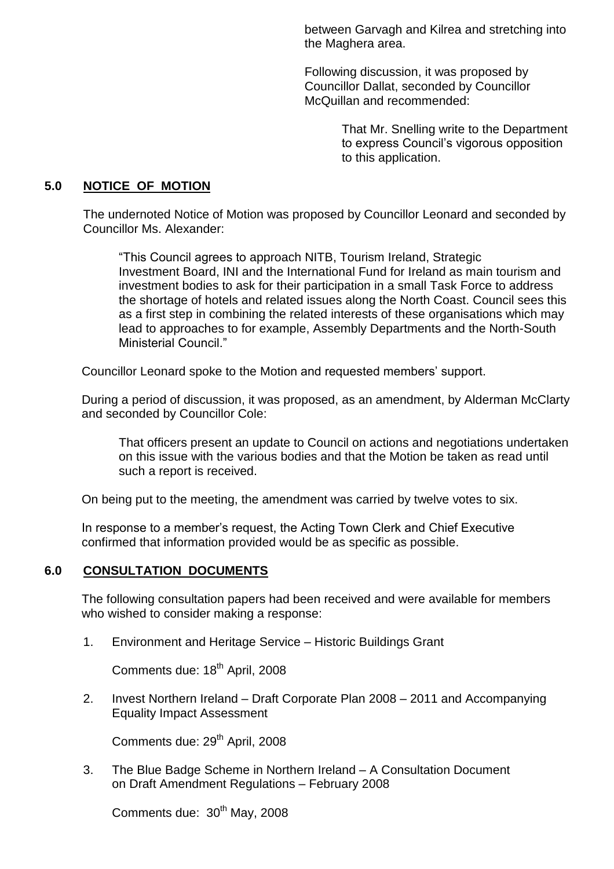between Garvagh and Kilrea and stretching into the Maghera area.

Following discussion, it was proposed by Councillor Dallat, seconded by Councillor McQuillan and recommended:

> That Mr. Snelling write to the Department to express Council's vigorous opposition to this application.

#### **5.0 NOTICE OF MOTION**

The undernoted Notice of Motion was proposed by Councillor Leonard and seconded by Councillor Ms. Alexander:

"This Council agrees to approach NITB, Tourism Ireland, Strategic Investment Board, INI and the International Fund for Ireland as main tourism and investment bodies to ask for their participation in a small Task Force to address the shortage of hotels and related issues along the North Coast. Council sees this as a first step in combining the related interests of these organisations which may lead to approaches to for example, Assembly Departments and the North-South Ministerial Council<sup>"</sup>

Councillor Leonard spoke to the Motion and requested members' support.

During a period of discussion, it was proposed, as an amendment, by Alderman McClarty and seconded by Councillor Cole:

That officers present an update to Council on actions and negotiations undertaken on this issue with the various bodies and that the Motion be taken as read until such a report is received.

On being put to the meeting, the amendment was carried by twelve votes to six.

In response to a member's request, the Acting Town Clerk and Chief Executive confirmed that information provided would be as specific as possible.

#### **6.0 CONSULTATION DOCUMENTS**

The following consultation papers had been received and were available for members who wished to consider making a response:

1. Environment and Heritage Service – Historic Buildings Grant

Comments due: 18<sup>th</sup> April, 2008

2. Invest Northern Ireland – Draft Corporate Plan 2008 – 2011 and Accompanying Equality Impact Assessment

Comments due: 29<sup>th</sup> April, 2008

3. The Blue Badge Scheme in Northern Ireland - A Consultation Document on Draft Amendment Regulations –February 2008

Comments due: 30<sup>th</sup> May, 2008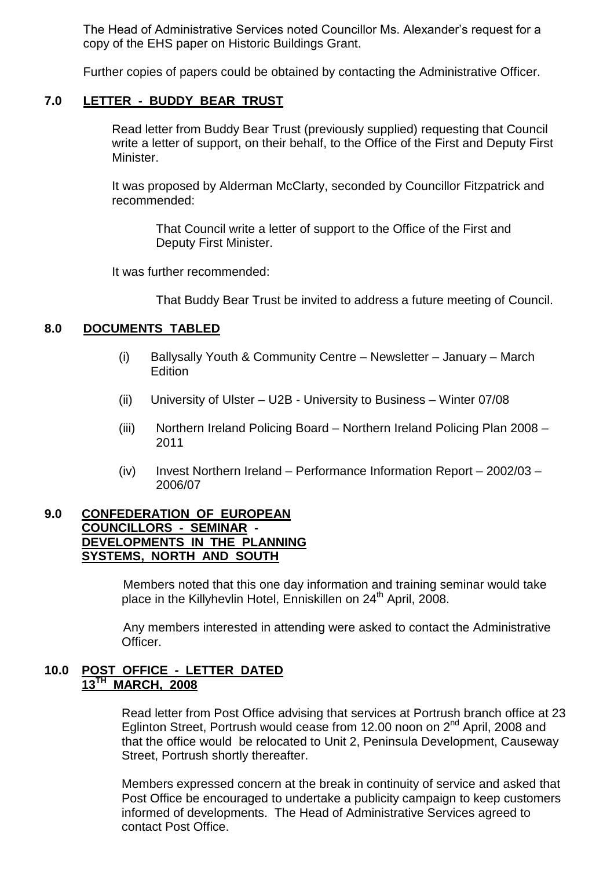The Head of Administrative Services noted Councillor Ms. Alexander's request for a copy of the EHS paper on Historic Buildings Grant.

Further copies of papers could be obtained by contacting the Administrative Officer.

#### **7.0 LETTER - BUDDY BEAR TRUST**

Read letter from Buddy Bear Trust (previously supplied) requesting that Council write a letter of support, on their behalf, to the Office of the First and Deputy First Minister.

It was proposed by Alderman McClarty, seconded by Councillor Fitzpatrick and recommended:

That Council write a letter of support to the Office of the First and Deputy First Minister.

It was further recommended:

That Buddy Bear Trust be invited to address a future meeting of Council.

#### **8.0 DOCUMENTS TABLED**

- (i) Ballysally Youth & Community Centre Newsletter January March **Edition**
- (ii) University of Ulster  $-$  U2B University to Business  $-$  Winter 07/08
- (iii) Northern Ireland Policing Board Northern Ireland Policing Plan 2008 2011
- (iv) Invest Northern Ireland Performance Information Report  $2002/03$  2006/07

### **9.0 CONFEDERATION OF EUROPEAN COUNCILLORS - SEMINAR - DEVELOPMENTS IN THE PLANNING SYSTEMS, NORTH AND SOUTH**

Members noted that this one day information and training seminar would take place in the Killyhevlin Hotel, Enniskillen on 24<sup>th</sup> April, 2008.

Any members interested in attending were asked to contact the Administrative Officer.

#### **10.0 POST OFFICE - LETTER DATED 13TH MARCH, 2008**

Read letter from Post Office advising that services at Portrush branch office at 23 Eglinton Street, Portrush would cease from 12.00 noon on 2<sup>nd</sup> April, 2008 and that the office would be relocated to Unit 2, Peninsula Development, Causeway Street, Portrush shortly thereafter.

Members expressed concern at the break in continuity of service and asked that Post Office be encouraged to undertake a publicity campaign to keep customers informed of developments. The Head of Administrative Services agreed to contact Post Office.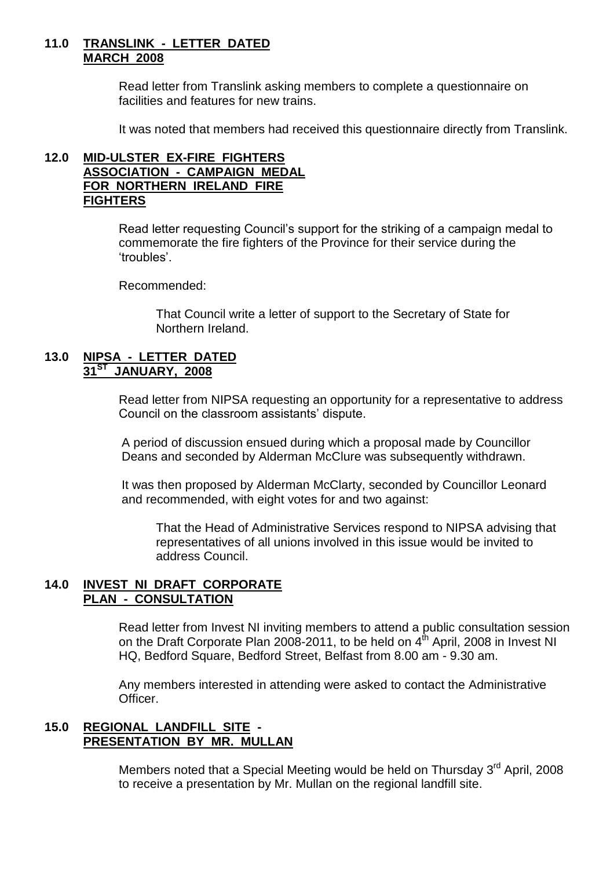#### **11.0 TRANSLINK - LETTER DATED MARCH 2008**

Read letter from Translink asking members to complete a questionnaire on facilities and features for new trains.

It was noted that members had received this questionnaire directly from Translink.

#### **12.0 MID-ULSTER EX-FIRE FIGHTERS ASSOCIATION - CAMPAIGN MEDAL FOR NORTHERN IRELAND FIRE FIGHTERS**

Read letter requesting Council's support for the striking of a campaign medal to commemorate the fire fighters of the Province for their service during the 'troubles'.

Recommended:

That Council write a letter of support to the Secretary of State for Northern Ireland.

#### **13.0 NIPSA - LETTER DATED 31ST JANUARY, 2008**

Read letter from NIPSA requesting an opportunity for a representative to address Council on the classroom assistants' dispute.

A period of discussion ensued during which a proposal made by Councillor Deans and seconded by Alderman McClure was subsequently withdrawn.

It was then proposed by Alderman McClarty, seconded by Councillor Leonard and recommended, with eight votes for and two against:

That the Head of Administrative Services respond to NIPSA advising that representatives of all unions involved in this issue would be invited to address Council.

# **14.0 INVEST NI DRAFT CORPORATE PLAN - CONSULTATION**

Read letter from Invest NI inviting members to attend a public consultation session on the Draft Corporate Plan 2008-2011, to be held on  $4<sup>th</sup>$  April, 2008 in Invest NI HQ, Bedford Square, Bedford Street, Belfast from 8.00 am - 9.30 am.

Any members interested in attending were asked to contact the Administrative Officer.

# **15.0 REGIONAL LANDFILL SITE - PRESENTATION BY MR. MULLAN**

Members noted that a Special Meeting would be held on Thursday 3<sup>rd</sup> April, 2008 to receive a presentation by Mr. Mullan on the regional landfill site.